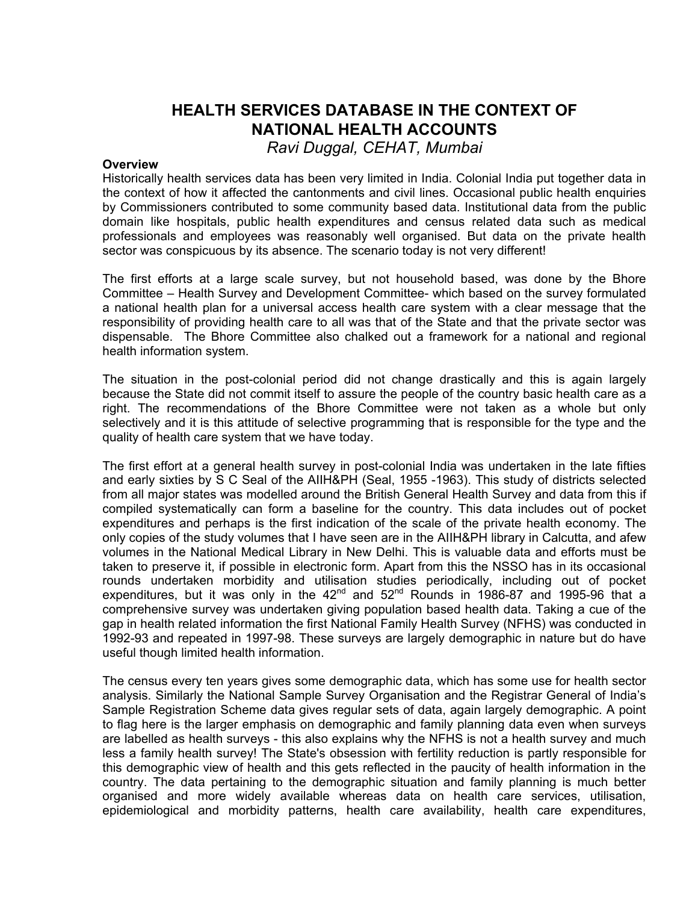# **HEALTH SERVICES DATABASE IN THE CONTEXT OF NATIONAL HEALTH ACCOUNTS**

*Ravi Duggal, CEHAT, Mumbai*

### **Overview**

Historically health services data has been very limited in India. Colonial India put together data in the context of how it affected the cantonments and civil lines. Occasional public health enquiries by Commissioners contributed to some community based data. Institutional data from the public domain like hospitals, public health expenditures and census related data such as medical professionals and employees was reasonably well organised. But data on the private health sector was conspicuous by its absence. The scenario today is not very different!

The first efforts at a large scale survey, but not household based, was done by the Bhore Committee – Health Survey and Development Committee- which based on the survey formulated a national health plan for a universal access health care system with a clear message that the responsibility of providing health care to all was that of the State and that the private sector was dispensable. The Bhore Committee also chalked out a framework for a national and regional health information system.

The situation in the post-colonial period did not change drastically and this is again largely because the State did not commit itself to assure the people of the country basic health care as a right. The recommendations of the Bhore Committee were not taken as a whole but only selectively and it is this attitude of selective programming that is responsible for the type and the quality of health care system that we have today.

The first effort at a general health survey in post-colonial India was undertaken in the late fifties and early sixties by S C Seal of the AIIH&PH (Seal, 1955 -1963). This study of districts selected from all major states was modelled around the British General Health Survey and data from this if compiled systematically can form a baseline for the country. This data includes out of pocket expenditures and perhaps is the first indication of the scale of the private health economy. The only copies of the study volumes that I have seen are in the AIIH&PH library in Calcutta, and afew volumes in the National Medical Library in New Delhi. This is valuable data and efforts must be taken to preserve it, if possible in electronic form. Apart from this the NSSO has in its occasional rounds undertaken morbidity and utilisation studies periodically, including out of pocket expenditures, but it was only in the  $42^{nd}$  and  $52^{nd}$  Rounds in 1986-87 and 1995-96 that a comprehensive survey was undertaken giving population based health data. Taking a cue of the gap in health related information the first National Family Health Survey (NFHS) was conducted in 1992-93 and repeated in 1997-98. These surveys are largely demographic in nature but do have useful though limited health information.

The census every ten years gives some demographic data, which has some use for health sector analysis. Similarly the National Sample Survey Organisation and the Registrar General of India's Sample Registration Scheme data gives regular sets of data, again largely demographic. A point to flag here is the larger emphasis on demographic and family planning data even when surveys are labelled as health surveys - this also explains why the NFHS is not a health survey and much less a family health survey! The State's obsession with fertility reduction is partly responsible for this demographic view of health and this gets reflected in the paucity of health information in the country. The data pertaining to the demographic situation and family planning is much better organised and more widely available whereas data on health care services, utilisation, epidemiological and morbidity patterns, health care availability, health care expenditures,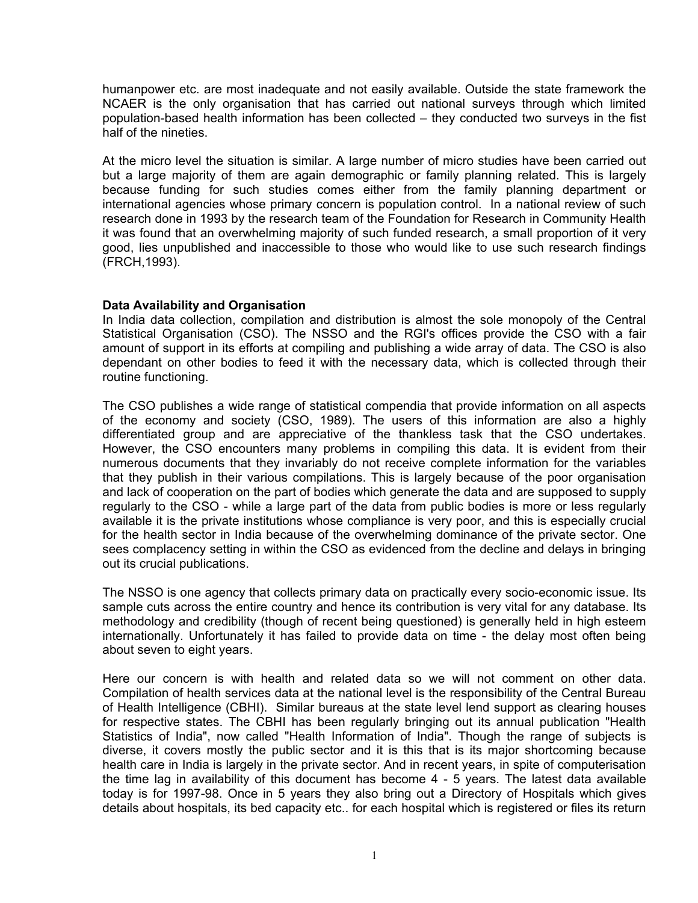humanpower etc. are most inadequate and not easily available. Outside the state framework the NCAER is the only organisation that has carried out national surveys through which limited population-based health information has been collected – they conducted two surveys in the fist half of the nineties.

At the micro level the situation is similar. A large number of micro studies have been carried out but a large majority of them are again demographic or family planning related. This is largely because funding for such studies comes either from the family planning department or international agencies whose primary concern is population control. In a national review of such research done in 1993 by the research team of the Foundation for Research in Community Health it was found that an overwhelming majority of such funded research, a small proportion of it very good, lies unpublished and inaccessible to those who would like to use such research findings (FRCH,1993).

## **Data Availability and Organisation**

In India data collection, compilation and distribution is almost the sole monopoly of the Central Statistical Organisation (CSO). The NSSO and the RGI's offices provide the CSO with a fair amount of support in its efforts at compiling and publishing a wide array of data. The CSO is also dependant on other bodies to feed it with the necessary data, which is collected through their routine functioning.

The CSO publishes a wide range of statistical compendia that provide information on all aspects of the economy and society (CSO, 1989). The users of this information are also a highly differentiated group and are appreciative of the thankless task that the CSO undertakes. However, the CSO encounters many problems in compiling this data. It is evident from their numerous documents that they invariably do not receive complete information for the variables that they publish in their various compilations. This is largely because of the poor organisation and lack of cooperation on the part of bodies which generate the data and are supposed to supply regularly to the CSO - while a large part of the data from public bodies is more or less regularly available it is the private institutions whose compliance is very poor, and this is especially crucial for the health sector in India because of the overwhelming dominance of the private sector. One sees complacency setting in within the CSO as evidenced from the decline and delays in bringing out its crucial publications.

The NSSO is one agency that collects primary data on practically every socio-economic issue. Its sample cuts across the entire country and hence its contribution is very vital for any database. Its methodology and credibility (though of recent being questioned) is generally held in high esteem internationally. Unfortunately it has failed to provide data on time - the delay most often being about seven to eight years.

Here our concern is with health and related data so we will not comment on other data. Compilation of health services data at the national level is the responsibility of the Central Bureau of Health Intelligence (CBHI). Similar bureaus at the state level lend support as clearing houses for respective states. The CBHI has been regularly bringing out its annual publication "Health Statistics of India", now called "Health Information of India". Though the range of subjects is diverse, it covers mostly the public sector and it is this that is its major shortcoming because health care in India is largely in the private sector. And in recent years, in spite of computerisation the time lag in availability of this document has become 4 - 5 years. The latest data available today is for 1997-98. Once in 5 years they also bring out a Directory of Hospitals which gives details about hospitals, its bed capacity etc.. for each hospital which is registered or files its return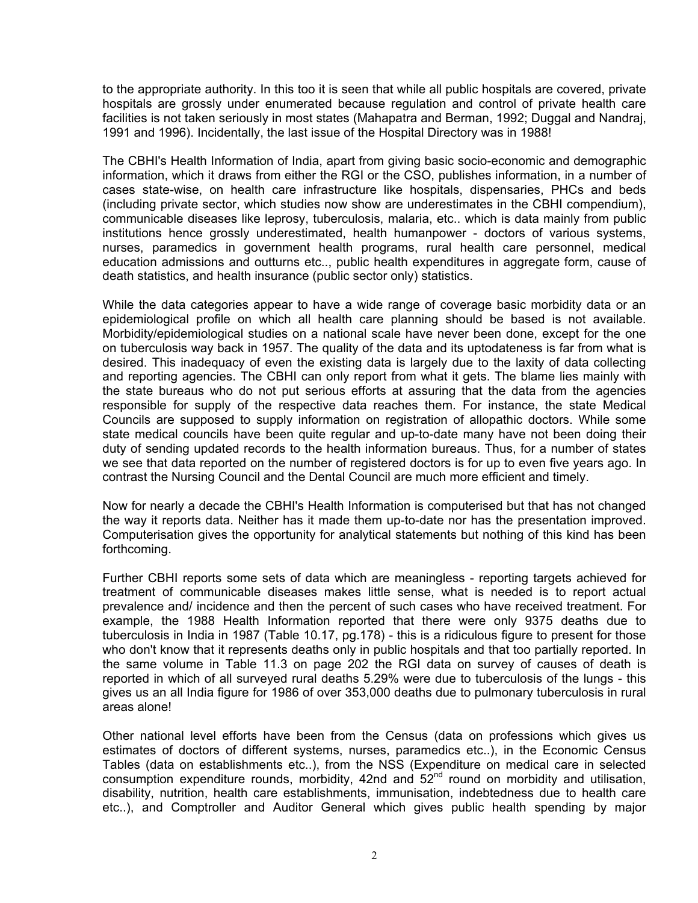to the appropriate authority. In this too it is seen that while all public hospitals are covered, private hospitals are grossly under enumerated because regulation and control of private health care facilities is not taken seriously in most states (Mahapatra and Berman, 1992; Duggal and Nandraj, 1991 and 1996). Incidentally, the last issue of the Hospital Directory was in 1988!

The CBHI's Health Information of India, apart from giving basic socio-economic and demographic information, which it draws from either the RGI or the CSO, publishes information, in a number of cases state-wise, on health care infrastructure like hospitals, dispensaries, PHCs and beds (including private sector, which studies now show are underestimates in the CBHI compendium), communicable diseases like leprosy, tuberculosis, malaria, etc.. which is data mainly from public institutions hence grossly underestimated, health humanpower - doctors of various systems, nurses, paramedics in government health programs, rural health care personnel, medical education admissions and outturns etc.., public health expenditures in aggregate form, cause of death statistics, and health insurance (public sector only) statistics.

While the data categories appear to have a wide range of coverage basic morbidity data or an epidemiological profile on which all health care planning should be based is not available. Morbidity/epidemiological studies on a national scale have never been done, except for the one on tuberculosis way back in 1957. The quality of the data and its uptodateness is far from what is desired. This inadequacy of even the existing data is largely due to the laxity of data collecting and reporting agencies. The CBHI can only report from what it gets. The blame lies mainly with the state bureaus who do not put serious efforts at assuring that the data from the agencies responsible for supply of the respective data reaches them. For instance, the state Medical Councils are supposed to supply information on registration of allopathic doctors. While some state medical councils have been quite regular and up-to-date many have not been doing their duty of sending updated records to the health information bureaus. Thus, for a number of states we see that data reported on the number of registered doctors is for up to even five years ago. In contrast the Nursing Council and the Dental Council are much more efficient and timely.

Now for nearly a decade the CBHI's Health Information is computerised but that has not changed the way it reports data. Neither has it made them up-to-date nor has the presentation improved. Computerisation gives the opportunity for analytical statements but nothing of this kind has been forthcoming.

Further CBHI reports some sets of data which are meaningless - reporting targets achieved for treatment of communicable diseases makes little sense, what is needed is to report actual prevalence and/ incidence and then the percent of such cases who have received treatment. For example, the 1988 Health Information reported that there were only 9375 deaths due to tuberculosis in India in 1987 (Table 10.17, pg.178) - this is a ridiculous figure to present for those who don't know that it represents deaths only in public hospitals and that too partially reported. In the same volume in Table 11.3 on page 202 the RGI data on survey of causes of death is reported in which of all surveyed rural deaths 5.29% were due to tuberculosis of the lungs - this gives us an all India figure for 1986 of over 353,000 deaths due to pulmonary tuberculosis in rural areas alone!

Other national level efforts have been from the Census (data on professions which gives us estimates of doctors of different systems, nurses, paramedics etc..), in the Economic Census Tables (data on establishments etc..), from the NSS (Expenditure on medical care in selected consumption expenditure rounds, morbidity, 42nd and  $52<sup>nd</sup>$  round on morbidity and utilisation, disability, nutrition, health care establishments, immunisation, indebtedness due to health care etc..), and Comptroller and Auditor General which gives public health spending by major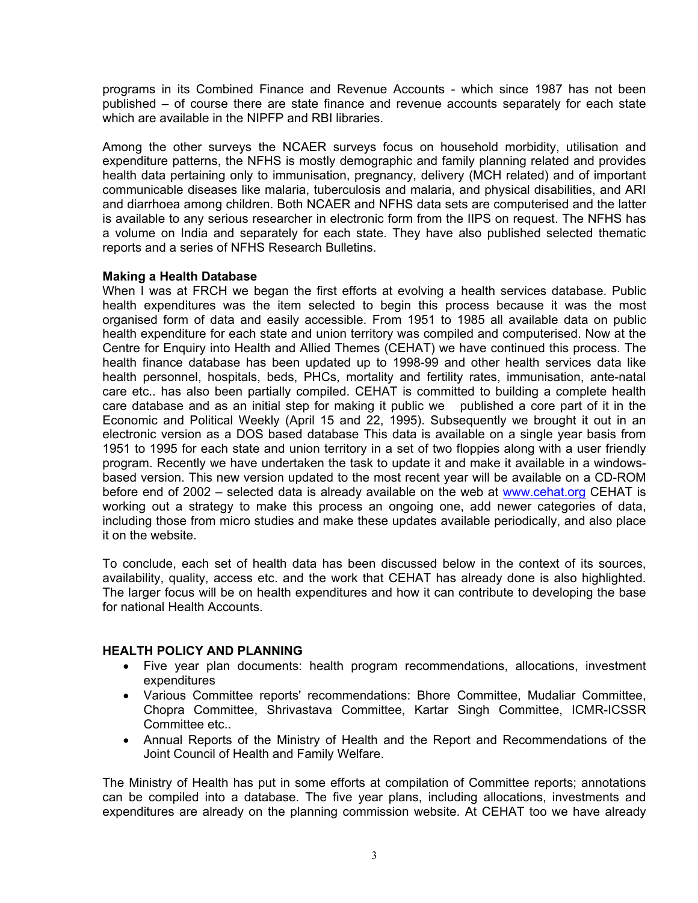programs in its Combined Finance and Revenue Accounts - which since 1987 has not been published – of course there are state finance and revenue accounts separately for each state which are available in the NIPFP and RBI libraries.

Among the other surveys the NCAER surveys focus on household morbidity, utilisation and expenditure patterns, the NFHS is mostly demographic and family planning related and provides health data pertaining only to immunisation, pregnancy, delivery (MCH related) and of important communicable diseases like malaria, tuberculosis and malaria, and physical disabilities, and ARI and diarrhoea among children. Both NCAER and NFHS data sets are computerised and the latter is available to any serious researcher in electronic form from the IIPS on request. The NFHS has a volume on India and separately for each state. They have also published selected thematic reports and a series of NFHS Research Bulletins.

## **Making a Health Database**

When I was at FRCH we began the first efforts at evolving a health services database. Public health expenditures was the item selected to begin this process because it was the most organised form of data and easily accessible. From 1951 to 1985 all available data on public health expenditure for each state and union territory was compiled and computerised. Now at the Centre for Enquiry into Health and Allied Themes (CEHAT) we have continued this process. The health finance database has been updated up to 1998-99 and other health services data like health personnel, hospitals, beds, PHCs, mortality and fertility rates, immunisation, ante-natal care etc.. has also been partially compiled. CEHAT is committed to building a complete health care database and as an initial step for making it public we published a core part of it in the Economic and Political Weekly (April 15 and 22, 1995). Subsequently we brought it out in an electronic version as a DOS based database This data is available on a single year basis from 1951 to 1995 for each state and union territory in a set of two floppies along with a user friendly program. Recently we have undertaken the task to update it and make it available in a windowsbased version. This new version updated to the most recent year will be available on a CD-ROM before end of 2002 – selected data is already available on the web at www.cehat.org CEHAT is working out a strategy to make this process an ongoing one, add newer categories of data, including those from micro studies and make these updates available periodically, and also place it on the website.

To conclude, each set of health data has been discussed below in the context of its sources, availability, quality, access etc. and the work that CEHAT has already done is also highlighted. The larger focus will be on health expenditures and how it can contribute to developing the base for national Health Accounts.

## **HEALTH POLICY AND PLANNING**

- Five year plan documents: health program recommendations, allocations, investment expenditures
- Various Committee reports' recommendations: Bhore Committee, Mudaliar Committee, Chopra Committee, Shrivastava Committee, Kartar Singh Committee, ICMR-ICSSR Committee etc..
- Annual Reports of the Ministry of Health and the Report and Recommendations of the Joint Council of Health and Family Welfare.

The Ministry of Health has put in some efforts at compilation of Committee reports; annotations can be compiled into a database. The five year plans, including allocations, investments and expenditures are already on the planning commission website. At CEHAT too we have already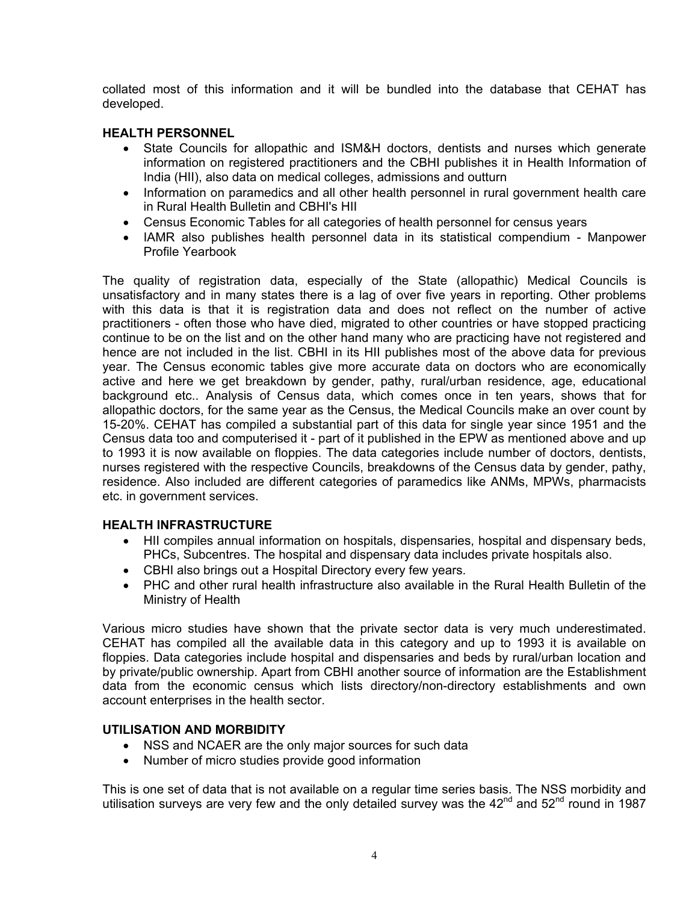collated most of this information and it will be bundled into the database that CEHAT has developed.

## **HEALTH PERSONNEL**

- State Councils for allopathic and ISM&H doctors, dentists and nurses which generate information on registered practitioners and the CBHI publishes it in Health Information of India (HII), also data on medical colleges, admissions and outturn
- Information on paramedics and all other health personnel in rural government health care in Rural Health Bulletin and CBHI's HII
- Census Economic Tables for all categories of health personnel for census years
- IAMR also publishes health personnel data in its statistical compendium Manpower Profile Yearbook

The quality of registration data, especially of the State (allopathic) Medical Councils is unsatisfactory and in many states there is a lag of over five years in reporting. Other problems with this data is that it is registration data and does not reflect on the number of active practitioners - often those who have died, migrated to other countries or have stopped practicing continue to be on the list and on the other hand many who are practicing have not registered and hence are not included in the list. CBHI in its HII publishes most of the above data for previous year. The Census economic tables give more accurate data on doctors who are economically active and here we get breakdown by gender, pathy, rural/urban residence, age, educational background etc.. Analysis of Census data, which comes once in ten years, shows that for allopathic doctors, for the same year as the Census, the Medical Councils make an over count by 15-20%. CEHAT has compiled a substantial part of this data for single year since 1951 and the Census data too and computerised it - part of it published in the EPW as mentioned above and up to 1993 it is now available on floppies. The data categories include number of doctors, dentists, nurses registered with the respective Councils, breakdowns of the Census data by gender, pathy, residence. Also included are different categories of paramedics like ANMs, MPWs, pharmacists etc. in government services.

## **HEALTH INFRASTRUCTURE**

- HII compiles annual information on hospitals, dispensaries, hospital and dispensary beds, PHCs, Subcentres. The hospital and dispensary data includes private hospitals also.
- CBHI also brings out a Hospital Directory every few years.
- PHC and other rural health infrastructure also available in the Rural Health Bulletin of the Ministry of Health

Various micro studies have shown that the private sector data is very much underestimated. CEHAT has compiled all the available data in this category and up to 1993 it is available on floppies. Data categories include hospital and dispensaries and beds by rural/urban location and by private/public ownership. Apart from CBHI another source of information are the Establishment data from the economic census which lists directory/non-directory establishments and own account enterprises in the health sector.

## **UTILISATION AND MORBIDITY**

- NSS and NCAER are the only major sources for such data
- Number of micro studies provide good information

This is one set of data that is not available on a regular time series basis. The NSS morbidity and utilisation surveys are very few and the only detailed survey was the  $42^{nd}$  and  $52^{nd}$  round in 1987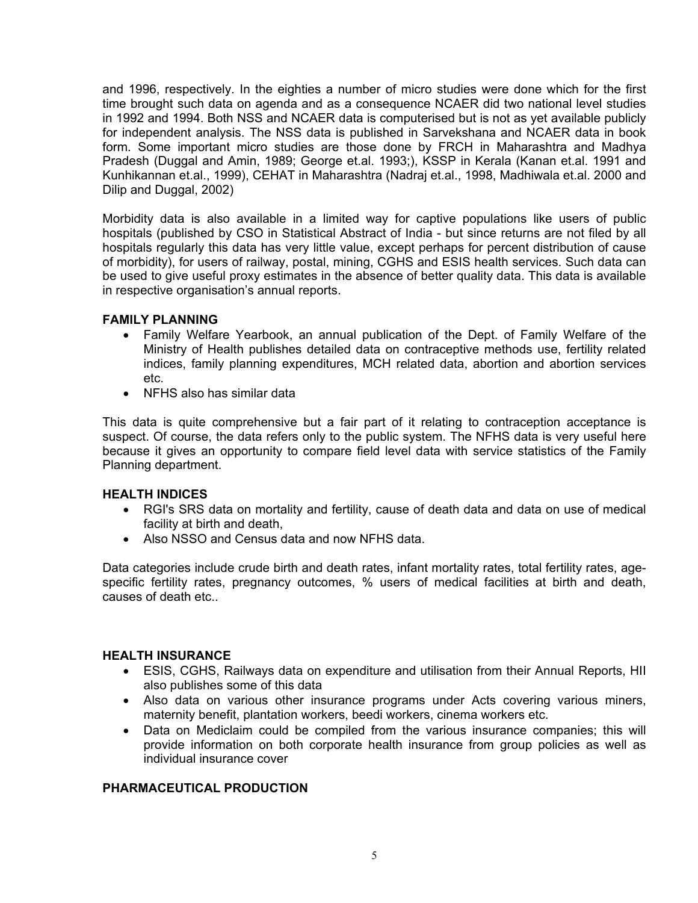and 1996, respectively. In the eighties a number of micro studies were done which for the first time brought such data on agenda and as a consequence NCAER did two national level studies in 1992 and 1994. Both NSS and NCAER data is computerised but is not as yet available publicly for independent analysis. The NSS data is published in Sarvekshana and NCAER data in book form. Some important micro studies are those done by FRCH in Maharashtra and Madhya Pradesh (Duggal and Amin, 1989; George et.al. 1993;), KSSP in Kerala (Kanan et.al. 1991 and Kunhikannan et.al., 1999), CEHAT in Maharashtra (Nadraj et.al., 1998, Madhiwala et.al. 2000 and Dilip and Duggal, 2002)

Morbidity data is also available in a limited way for captive populations like users of public hospitals (published by CSO in Statistical Abstract of India - but since returns are not filed by all hospitals regularly this data has very little value, except perhaps for percent distribution of cause of morbidity), for users of railway, postal, mining, CGHS and ESIS health services. Such data can be used to give useful proxy estimates in the absence of better quality data. This data is available in respective organisation's annual reports.

## **FAMILY PLANNING**

- Family Welfare Yearbook, an annual publication of the Dept. of Family Welfare of the Ministry of Health publishes detailed data on contraceptive methods use, fertility related indices, family planning expenditures, MCH related data, abortion and abortion services etc.
- NFHS also has similar data

This data is quite comprehensive but a fair part of it relating to contraception acceptance is suspect. Of course, the data refers only to the public system. The NFHS data is very useful here because it gives an opportunity to compare field level data with service statistics of the Family Planning department.

## **HEALTH INDICES**

- RGI's SRS data on mortality and fertility, cause of death data and data on use of medical facility at birth and death,
- Also NSSO and Census data and now NFHS data.

Data categories include crude birth and death rates, infant mortality rates, total fertility rates, agespecific fertility rates, pregnancy outcomes, % users of medical facilities at birth and death, causes of death etc..

## **HEALTH INSURANCE**

- ESIS, CGHS, Railways data on expenditure and utilisation from their Annual Reports, HII also publishes some of this data
- Also data on various other insurance programs under Acts covering various miners, maternity benefit, plantation workers, beedi workers, cinema workers etc.
- Data on Mediclaim could be compiled from the various insurance companies; this will provide information on both corporate health insurance from group policies as well as individual insurance cover

## **PHARMACEUTICAL PRODUCTION**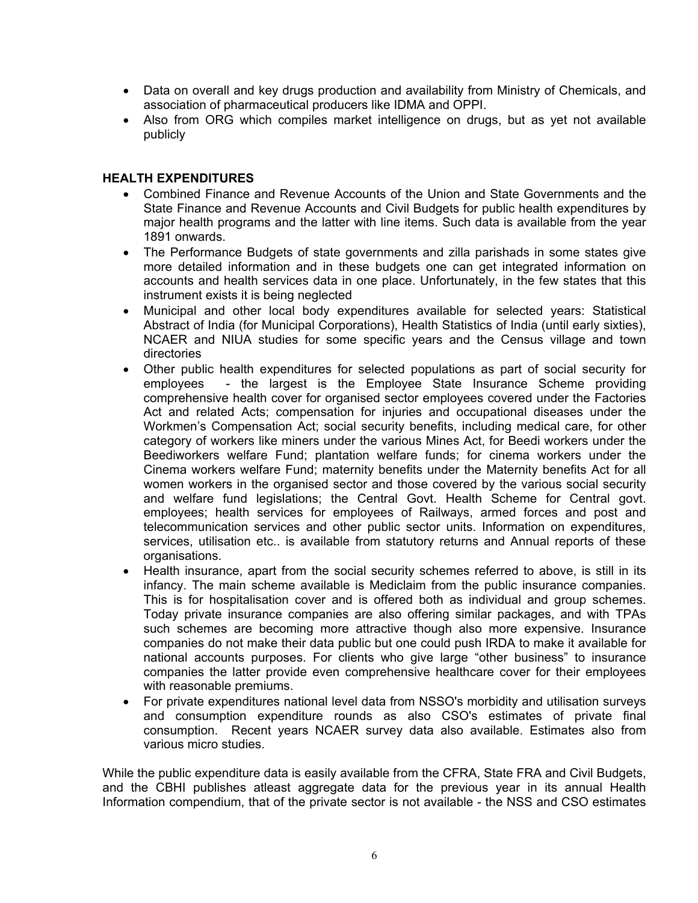- Data on overall and key drugs production and availability from Ministry of Chemicals, and association of pharmaceutical producers like IDMA and OPPI.
- Also from ORG which compiles market intelligence on drugs, but as yet not available publicly

## **HEALTH EXPENDITURES**

- Combined Finance and Revenue Accounts of the Union and State Governments and the State Finance and Revenue Accounts and Civil Budgets for public health expenditures by major health programs and the latter with line items. Such data is available from the year 1891 onwards.
- The Performance Budgets of state governments and zilla parishads in some states give more detailed information and in these budgets one can get integrated information on accounts and health services data in one place. Unfortunately, in the few states that this instrument exists it is being neglected
- Municipal and other local body expenditures available for selected years: Statistical Abstract of India (for Municipal Corporations), Health Statistics of India (until early sixties), NCAER and NIUA studies for some specific years and the Census village and town directories
- Other public health expenditures for selected populations as part of social security for employees - the largest is the Employee State Insurance Scheme providing comprehensive health cover for organised sector employees covered under the Factories Act and related Acts; compensation for injuries and occupational diseases under the Workmen's Compensation Act; social security benefits, including medical care, for other category of workers like miners under the various Mines Act, for Beedi workers under the Beediworkers welfare Fund; plantation welfare funds; for cinema workers under the Cinema workers welfare Fund; maternity benefits under the Maternity benefits Act for all women workers in the organised sector and those covered by the various social security and welfare fund legislations; the Central Govt. Health Scheme for Central govt. employees; health services for employees of Railways, armed forces and post and telecommunication services and other public sector units. Information on expenditures, services, utilisation etc.. is available from statutory returns and Annual reports of these organisations.
- Health insurance, apart from the social security schemes referred to above, is still in its infancy. The main scheme available is Mediclaim from the public insurance companies. This is for hospitalisation cover and is offered both as individual and group schemes. Today private insurance companies are also offering similar packages, and with TPAs such schemes are becoming more attractive though also more expensive. Insurance companies do not make their data public but one could push IRDA to make it available for national accounts purposes. For clients who give large "other business" to insurance companies the latter provide even comprehensive healthcare cover for their employees with reasonable premiums.
- For private expenditures national level data from NSSO's morbidity and utilisation surveys and consumption expenditure rounds as also CSO's estimates of private final consumption. Recent years NCAER survey data also available. Estimates also from various micro studies.

While the public expenditure data is easily available from the CFRA, State FRA and Civil Budgets, and the CBHI publishes atleast aggregate data for the previous year in its annual Health Information compendium, that of the private sector is not available - the NSS and CSO estimates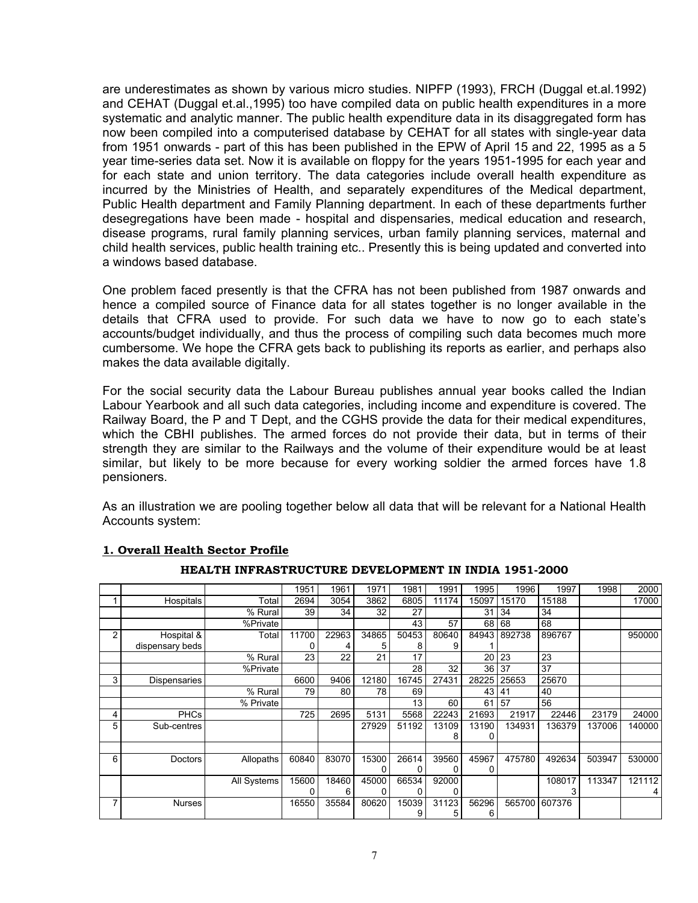are underestimates as shown by various micro studies. NIPFP (1993), FRCH (Duggal et.al.1992) and CEHAT (Duggal et.al.,1995) too have compiled data on public health expenditures in a more systematic and analytic manner. The public health expenditure data in its disaggregated form has now been compiled into a computerised database by CEHAT for all states with single-year data from 1951 onwards - part of this has been published in the EPW of April 15 and 22, 1995 as a 5 year time-series data set. Now it is available on floppy for the years 1951-1995 for each year and for each state and union territory. The data categories include overall health expenditure as incurred by the Ministries of Health, and separately expenditures of the Medical department, Public Health department and Family Planning department. In each of these departments further desegregations have been made - hospital and dispensaries, medical education and research, disease programs, rural family planning services, urban family planning services, maternal and child health services, public health training etc.. Presently this is being updated and converted into a windows based database.

One problem faced presently is that the CFRA has not been published from 1987 onwards and hence a compiled source of Finance data for all states together is no longer available in the details that CFRA used to provide. For such data we have to now go to each state's accounts/budget individually, and thus the process of compiling such data becomes much more cumbersome. We hope the CFRA gets back to publishing its reports as earlier, and perhaps also makes the data available digitally.

For the social security data the Labour Bureau publishes annual year books called the Indian Labour Yearbook and all such data categories, including income and expenditure is covered. The Railway Board, the P and T Dept, and the CGHS provide the data for their medical expenditures, which the CBHI publishes. The armed forces do not provide their data, but in terms of their strength they are similar to the Railways and the volume of their expenditure would be at least similar, but likely to be more because for every working soldier the armed forces have 1.8 pensioners.

As an illustration we are pooling together below all data that will be relevant for a National Health Accounts system:

|   |                 |             | 1951  | 1961  | 1971  | 1981  | 1991  | 1995            | 1996   | 1997   | 1998   | 2000   |
|---|-----------------|-------------|-------|-------|-------|-------|-------|-----------------|--------|--------|--------|--------|
|   | Hospitals       | Total       | 2694  | 3054  | 3862  | 6805  | 11174 | 15097           | 15170  | 15188  |        | 17000  |
|   |                 | % Rural     | 39    | 34    | 32    | 27    |       | 31              | 34     | 34     |        |        |
|   |                 | %Private    |       |       |       | 43    | 57    | 68              | 68     | 68     |        |        |
| 2 | Hospital &      | Total       | 11700 | 22963 | 34865 | 50453 | 80640 | 84943           | 892738 | 896767 |        | 950000 |
|   | dispensary beds |             | 0     | 4     | 5     | 8     | 9     |                 |        |        |        |        |
|   |                 | % Rural     | 23    | 22    | 21    | 17    |       | 20              | 23     | 23     |        |        |
|   |                 | %Private    |       |       |       | 28    | 32    | 36 <sub>1</sub> | 37     | 37     |        |        |
| 3 | Dispensaries    |             | 6600  | 9406  | 12180 | 16745 | 27431 | 28225           | 25653  | 25670  |        |        |
|   |                 | % Rural     | 79    | 80    | 78    | 69    |       | 43              | 41     | 40     |        |        |
|   |                 | % Private   |       |       |       | 13    | 60    | 61              | 57     | 56     |        |        |
| 4 | <b>PHCs</b>     |             | 725   | 2695  | 5131  | 5568  | 22243 | 21693           | 21917  | 22446  | 23179  | 24000  |
| 5 | Sub-centres     |             |       |       | 27929 | 51192 | 13109 | 13190           | 134931 | 136379 | 137006 | 140000 |
|   |                 |             |       |       |       |       | 8     | 0               |        |        |        |        |
|   |                 |             |       |       |       |       |       |                 |        |        |        |        |
| 6 | Doctors         | Allopaths   | 60840 | 83070 | 15300 | 26614 | 39560 | 45967           | 475780 | 492634 | 503947 | 530000 |
|   |                 |             |       |       |       | 0     | 0     | 0               |        |        |        |        |
|   |                 | All Systems | 15600 | 18460 | 45000 | 66534 | 92000 |                 |        | 108017 | 113347 | 121112 |
|   |                 |             | 0     | 6     | 0     | 0     | 0     |                 |        | 3      |        |        |
| 7 | <b>Nurses</b>   |             | 16550 | 35584 | 80620 | 15039 | 31123 | 56296           | 565700 | 607376 |        |        |
|   |                 |             |       |       |       | 9     | 5     | 6               |        |        |        |        |

## **1. Overall Health Sector Profile**

### **HEALTH INFRASTRUCTURE DEVELOPMENT IN INDIA 1951-2000**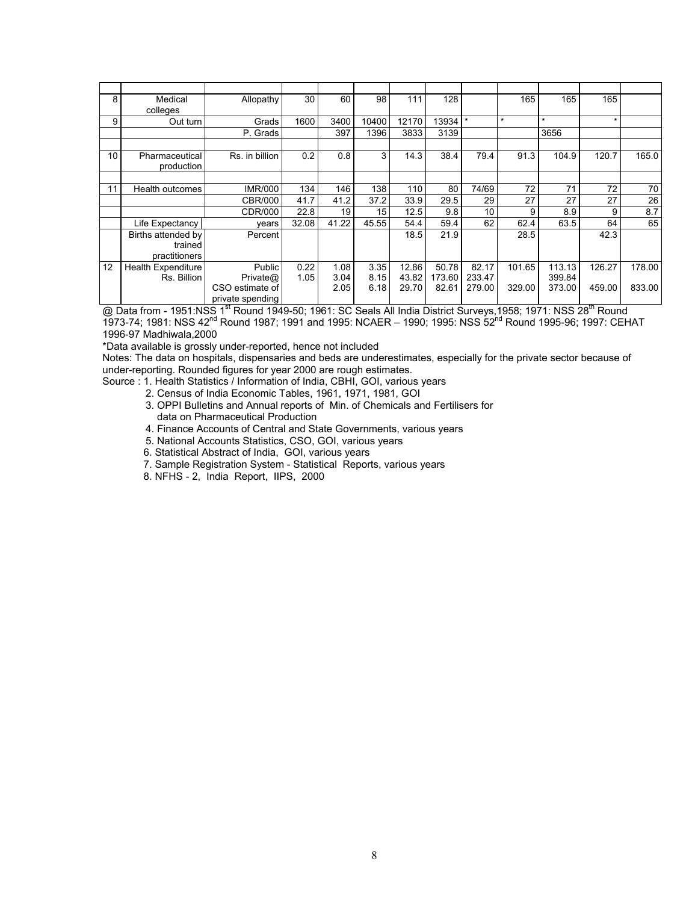| 8  | Medical<br>colleges           | Allopathy                                       | 30    | 60           | 98              | 111            | 128             |                  | 165     | 165              | 165     |        |
|----|-------------------------------|-------------------------------------------------|-------|--------------|-----------------|----------------|-----------------|------------------|---------|------------------|---------|--------|
| 9  | Out turn                      | Grads                                           | 1600  | 3400         | 10400           | 12170          | 13934           | $\star$          | $\star$ | $\star$          | $\star$ |        |
|    |                               | P. Grads                                        |       | 397          | 1396            | 3833           | 3139            |                  |         | 3656             |         |        |
|    |                               |                                                 |       |              |                 |                |                 |                  |         |                  |         |        |
| 10 | Pharmaceutical<br>production  | Rs. in billion                                  | 0.2   | 0.8          | 3               | 14.3           | 38.4            | 79.4             | 91.3    | 104.9            | 120.7   | 165.0  |
|    |                               |                                                 |       |              |                 |                |                 |                  |         |                  |         |        |
| 11 | Health outcomes               | IMR/000                                         | 134   | 146          | 138             | 110            | 80              | 74/69            | 72      | 71               | 72      | 70     |
|    |                               | CBR/000                                         | 41.7  | 41.2         | 37.2            | 33.9           | 29.5            | 29               | 27      | 27               | 27      | 26     |
|    |                               | CDR/000                                         | 22.8  | 19           | 15 <sub>1</sub> | 12.5           | 9.8             | 10 <sup>1</sup>  | 9       | 8.9              | 9       | 8.7    |
|    | Life Expectancy               | vears                                           | 32.08 | 41.22        | 45.55           | 54.4           | 59.4            | 62               | 62.4    | 63.5             | 64      | 65     |
|    | Births attended by<br>trained | Percent                                         |       |              |                 | 18.5           | 21.9            |                  | 28.5    |                  | 42.3    |        |
|    | practitioners                 |                                                 |       |              |                 |                |                 |                  |         |                  |         |        |
| 12 | Health Expenditure            | Public                                          | 0.22  | 1.08         | 3.35            | 12.86          | 50.78           | 82.17            | 101.65  | 113.13           | 126.27  | 178.00 |
|    | Rs. Billion                   | Private@<br>CSO estimate of<br>private spending | 1.05  | 3.04<br>2.05 | 8.15<br>6.18    | 43.82<br>29.70 | 173.60<br>82.61 | 233.47<br>279.00 | 329.00  | 399.84<br>373.00 | 459.00  | 833.00 |

@ Data from - 1951:NSS 1<sup>st</sup> Round 1949-50; 1961: SC Seals All India District Surveys, 1958; 1971: NSS 28<sup>th</sup> Round 1973-74; 1981: NSS 42<sup>nd</sup> Round 1987; 1991 and 1995: NCAER - 1990; 1995: NSS 52<sup>nd</sup> Round 1995-96; 1997: CEHAT 1996-97 Madhiwala,2000

\*Data available is grossly under-reported, hence not included

Notes: The data on hospitals, dispensaries and beds are underestimates, especially for the private sector because of under-reporting. Rounded figures for year 2000 are rough estimates.

Source : 1. Health Statistics / Information of India, CBHI, GOI, various years

- 2. Census of India Economic Tables, 1961, 1971, 1981, GOI
- 3. OPPI Bulletins and Annual reports of Min. of Chemicals and Fertilisers for data on Pharmaceutical Production
- 4. Finance Accounts of Central and State Governments, various years
- 5. National Accounts Statistics, CSO, GOI, various years
- 6. Statistical Abstract of India, GOI, various years
- 7. Sample Registration System Statistical Reports, various years
- 8. NFHS 2, India Report, IIPS, 2000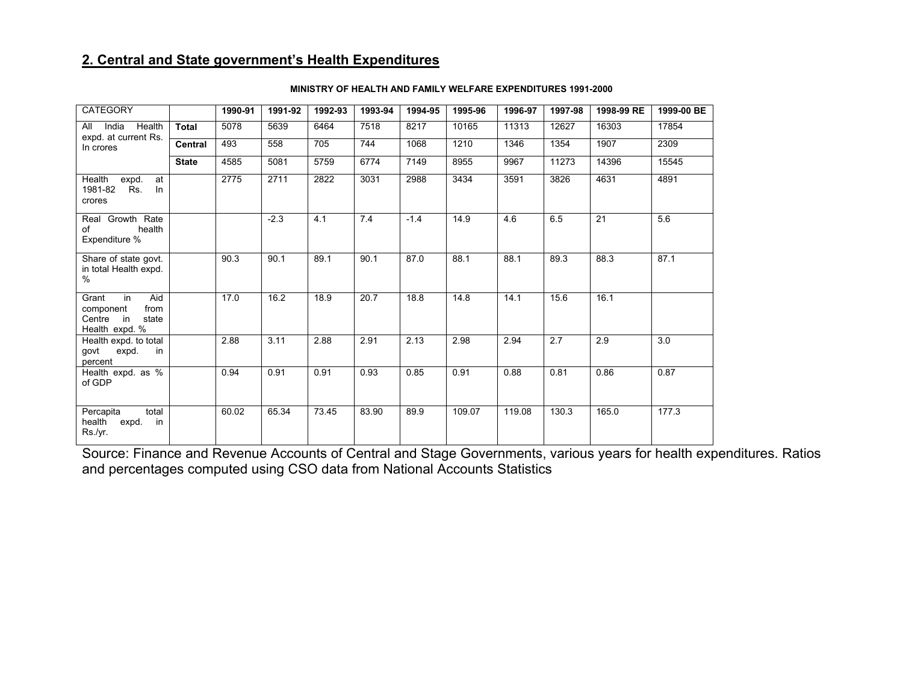## **2. Central and State government's Health Expenditures**

| CATEGORY                                                                           |              | 1990-91 | 1991-92 | 1992-93 | 1993-94 | 1994-95 | 1995-96 | 1996-97 | 1997-98 | 1998-99 RE | 1999-00 BE |
|------------------------------------------------------------------------------------|--------------|---------|---------|---------|---------|---------|---------|---------|---------|------------|------------|
| India Health<br>All                                                                | <b>Total</b> | 5078    | 5639    | 6464    | 7518    | 8217    | 10165   | 11313   | 12627   | 16303      | 17854      |
| expd. at current Rs.<br>In crores                                                  | Central      | 493     | 558     | 705     | 744     | 1068    | 1210    | 1346    | 1354    | 1907       | 2309       |
|                                                                                    | <b>State</b> | 4585    | 5081    | 5759    | 6774    | 7149    | 8955    | 9967    | 11273   | 14396      | 15545      |
| Health<br>expd.<br>at<br>Rs.<br>1981-82<br>ln<br>crores                            |              | 2775    | 2711    | 2822    | 3031    | 2988    | 3434    | 3591    | 3826    | 4631       | 4891       |
| Real Growth Rate<br>health<br>of<br>Expenditure %                                  |              |         | $-2.3$  | 4.1     | 7.4     | $-1.4$  | 14.9    | 4.6     | 6.5     | 21         | 5.6        |
| Share of state govt.<br>in total Health expd.<br>%                                 |              | 90.3    | 90.1    | 89.1    | 90.1    | 87.0    | 88.1    | 88.1    | 89.3    | 88.3       | 87.1       |
| Aid<br>Grant<br>in<br>from<br>component<br>in<br>Centre<br>state<br>Health expd. % |              | 17.0    | 16.2    | 18.9    | 20.7    | 18.8    | 14.8    | 14.1    | 15.6    | 16.1       |            |
| Health expd. to total<br>govt<br>expd.<br>in<br>percent                            |              | 2.88    | 3.11    | 2.88    | 2.91    | 2.13    | 2.98    | 2.94    | 2.7     | 2.9        | 3.0        |
| Health expd. as %<br>of GDP                                                        |              | 0.94    | 0.91    | 0.91    | 0.93    | 0.85    | 0.91    | 0.88    | 0.81    | 0.86       | 0.87       |
| total<br>Percapita<br>health<br>in<br>expd.<br>Rs /yr                              |              | 60.02   | 65.34   | 73.45   | 83.90   | 89.9    | 109.07  | 119.08  | 130.3   | 165.0      | 177.3      |

#### **MINISTRY OF HEALTH AND FAMILY WELFARE EXPENDITURES 1991-2000**

Source: Finance and Revenue Accounts of Central and Stage Governments, various years for health expenditures. Ratios and percentages computed using CSO data from National Accounts Statistics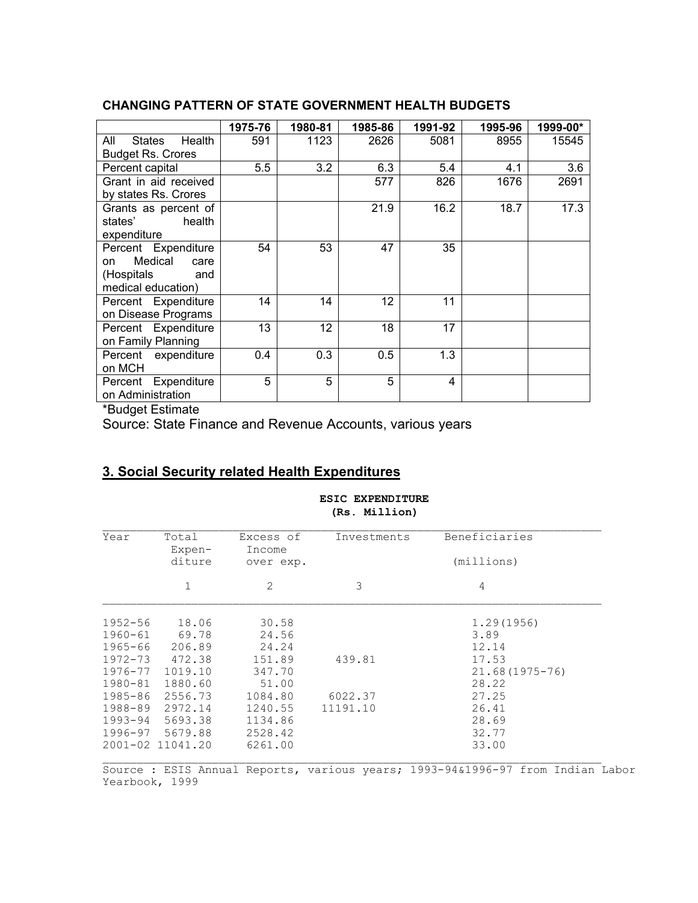## **CHANGING PATTERN OF STATE GOVERNMENT HEALTH BUDGETS**

|                          | 1975-76 | 1980-81 | 1985-86 | 1991-92 | 1995-96 | 1999-00* |
|--------------------------|---------|---------|---------|---------|---------|----------|
| Health<br>All<br>States  | 591     | 1123    | 2626    | 5081    | 8955    | 15545    |
| <b>Budget Rs. Crores</b> |         |         |         |         |         |          |
| Percent capital          | 5.5     | 3.2     | 6.3     | 5.4     | 4.1     | 3.6      |
| Grant in aid received    |         |         | 577     | 826     | 1676    | 2691     |
| by states Rs. Crores     |         |         |         |         |         |          |
| Grants as percent of     |         |         | 21.9    | 16.2    | 18.7    | 17.3     |
| health<br>states'        |         |         |         |         |         |          |
| expenditure              |         |         |         |         |         |          |
| Percent Expenditure      | 54      | 53      | 47      | 35      |         |          |
| Medical<br>care<br>on    |         |         |         |         |         |          |
| (Hospitals<br>and        |         |         |         |         |         |          |
| medical education)       |         |         |         |         |         |          |
| Percent Expenditure      | 14      | 14      | 12      | 11      |         |          |
| on Disease Programs      |         |         |         |         |         |          |
| Percent Expenditure      | 13      | 12      | 18      | 17      |         |          |
| on Family Planning       |         |         |         |         |         |          |
| Percent expenditure      | 0.4     | 0.3     | 0.5     | 1.3     |         |          |
| on MCH                   |         |         |         |         |         |          |
| Percent Expenditure      | 5       | 5       | 5       | 4       |         |          |
| on Administration        |         |         |         |         |         |          |

\*Budget Estimate

Source: State Finance and Revenue Accounts, various years

## **3. Social Security related Health Expenditures**

#### **ESIC EXPENDITURE (Rs. Million)**

| Year                       | Total<br>$Expen-$<br>diture                                       | Excess of<br>Income<br>over exp.         | Investments | Beneficiaries<br>(millions)      |
|----------------------------|-------------------------------------------------------------------|------------------------------------------|-------------|----------------------------------|
|                            |                                                                   | 2                                        | 3           | 4                                |
| $1952 - 56$                | 18.06                                                             | 30.58                                    |             | 1.29(1956)                       |
| $1960 - 61$<br>$1965 - 66$ | 69.78<br>206.89                                                   | 24.56<br>24.24                           |             | 3.89<br>12.14                    |
| $1972 - 73$<br>1976-77     | 472.38<br>1019.10                                                 | 151.89<br>347.70                         | 439.81      | 17.53<br>$21.68(1975 - 76)$      |
| 1980-81<br>1985-86         | 1880.60<br>2556.73                                                | 51.00<br>1084.80                         | 6022.37     | 28.22<br>27.25                   |
| 1988-89                    | 2972.14<br>1993-94 5693.38<br>1996-97 5679.88<br>2001-02 11041.20 | 1240.55<br>1134.86<br>2528.42<br>6261.00 | 11191.10    | 26.41<br>28.69<br>32.77<br>33.00 |

Source : ESIS Annual Reports, various years; 1993-94&1996-97 from Indian Labor Yearbook, 1999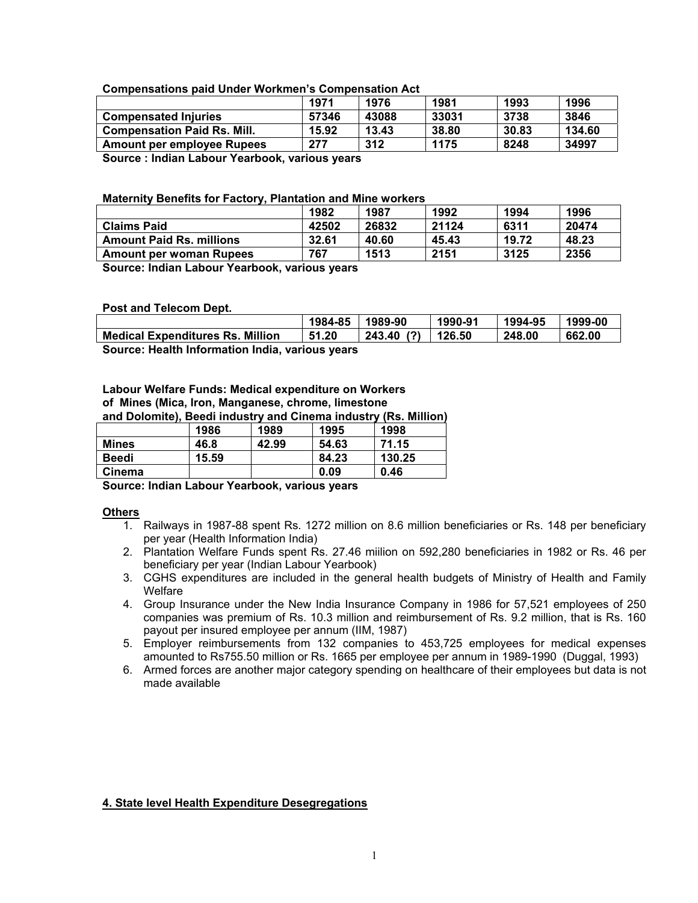#### **Compensations paid Under Workmen's Compensation Act**

|                                               | 1971  | 1976  | 1981  | 1993  | 1996   |  |  |  |
|-----------------------------------------------|-------|-------|-------|-------|--------|--|--|--|
| <b>Compensated Injuries</b>                   | 57346 | 43088 | 33031 | 3738  | 3846   |  |  |  |
| <b>Compensation Paid Rs. Mill.</b>            | 15.92 | 13.43 | 38.80 | 30.83 | 134.60 |  |  |  |
| <b>Amount per employee Rupees</b>             | 277   | 312   | 1175  | 8248  | 34997  |  |  |  |
| Carpan Ladian Laharry Vaarhaale seedara seara |       |       |       |       |        |  |  |  |

**Source : Indian Labour Yearbook, various years** 

#### **Maternity Benefits for Factory, Plantation and Mine workers**

|                                 | 1982  | 1987  | 1992  | 1994  | 1996  |
|---------------------------------|-------|-------|-------|-------|-------|
| <b>Claims Paid</b>              | 42502 | 26832 | 21124 | 6311  | 20474 |
| <b>Amount Paid Rs. millions</b> | 32.61 | 40.60 | 45.43 | 19.72 | 48.23 |
| Amount per woman Rupees         | 767   | 1513  | 2151  | 3125  | 2356  |
|                                 |       |       |       |       |       |

**Source: Indian Labour Yearbook, various years** 

#### **Post and Telecom Dept.**

|                                         | 1984-85                                                                        | 1989-90   | 1990-91 | 1994-95 | 1999-00 |  |  |  |  |
|-----------------------------------------|--------------------------------------------------------------------------------|-----------|---------|---------|---------|--|--|--|--|
| <b>Medical Expenditures Rs. Million</b> | 51.20                                                                          | 243.40(?) | 126.50  | 248.00  | 662.00  |  |  |  |  |
|                                         | . A consequent to a trial the figures of the start that the second consequence |           |         |         |         |  |  |  |  |

**Source: Health Information India, various years** 

## **Labour Welfare Funds: Medical expenditure on Workers of Mines (Mica, Iron, Manganese, chrome, limestone**

**and Dolomite), Beedi industry and Cinema industry (Rs. Million)** 

|              | 1986  | 1989  | 1995  | 1998   |
|--------------|-------|-------|-------|--------|
| <b>Mines</b> | 46.8  | 42.99 | 54.63 | 71.15  |
| <b>Beedi</b> | 15.59 |       | 84.23 | 130.25 |
| Cinema       |       |       | 0.09  | 0.46   |

**Source: Indian Labour Yearbook, various years** 

#### **Others**

- 1. Railways in 1987-88 spent Rs. 1272 million on 8.6 million beneficiaries or Rs. 148 per beneficiary per year (Health Information India)
- 2. Plantation Welfare Funds spent Rs. 27.46 miilion on 592,280 beneficiaries in 1982 or Rs. 46 per beneficiary per year (Indian Labour Yearbook)
- 3. CGHS expenditures are included in the general health budgets of Ministry of Health and Family **Welfare**
- 4. Group Insurance under the New India Insurance Company in 1986 for 57,521 employees of 250 companies was premium of Rs. 10.3 million and reimbursement of Rs. 9.2 million, that is Rs. 160 payout per insured employee per annum (IIM, 1987)
- 5. Employer reimbursements from 132 companies to 453,725 employees for medical expenses amounted to Rs755.50 million or Rs. 1665 per employee per annum in 1989-1990 (Duggal, 1993)
- 6. Armed forces are another major category spending on healthcare of their employees but data is not made available

## **4. State level Health Expenditure Desegregations**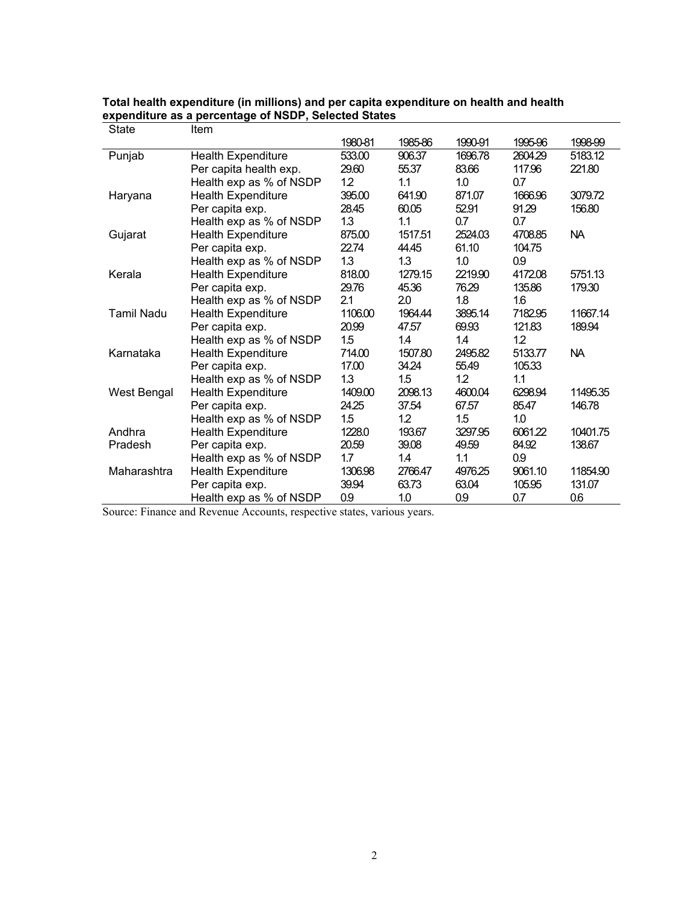| <b>State</b>      | Item                      |         |         |         |         |          |
|-------------------|---------------------------|---------|---------|---------|---------|----------|
|                   |                           | 1980-81 | 1985-86 | 1990-91 | 1995-96 | 1998-99  |
| Punjab            | <b>Health Expenditure</b> | 533.00  | 906.37  | 1696.78 | 2604.29 | 5183.12  |
|                   | Per capita health exp.    | 29.60   | 55.37   | 83.66   | 117.96  | 221.80   |
|                   | Health exp as % of NSDP   | 12      | 1.1     | 1.0     | 0.7     |          |
| Haryana           | <b>Health Expenditure</b> | 395.00  | 641.90  | 871.07  | 1666.96 | 3079.72  |
|                   | Per capita exp.           | 28.45   | 60.05   | 52.91   | 91.29   | 156.80   |
|                   | Health exp as % of NSDP   | 1.3     | 1.1     | 0.7     | 0.7     |          |
| Gujarat           | <b>Health Expenditure</b> | 875.00  | 1517.51 | 2524.03 | 4708.85 | NA.      |
|                   | Per capita exp.           | 22.74   | 44.45   | 61.10   | 104.75  |          |
|                   | Health exp as % of NSDP   | 1.3     | 1.3     | 1.0     | 0.9     |          |
| Kerala            | <b>Health Expenditure</b> | 818.00  | 1279.15 | 2219.90 | 4172.08 | 5751.13  |
|                   | Per capita exp.           | 29.76   | 45.36   | 76.29   | 135.86  | 179.30   |
|                   | Health exp as % of NSDP   | 2.1     | 20      | 1.8     | 1.6     |          |
| <b>Tamil Nadu</b> | <b>Health Expenditure</b> | 1106.00 | 1964.44 | 3895.14 | 7182.95 | 11667.14 |
|                   | Per capita exp.           | 20.99   | 47.57   | 69.93   | 121.83  | 189.94   |
|                   | Health exp as % of NSDP   | 1.5     | 1.4     | 1.4     | $12 \,$ |          |
| Karnataka         | <b>Health Expenditure</b> | 714.00  | 1507.80 | 2495.82 | 5133.77 | NA.      |
|                   | Per capita exp.           | 17.00   | 34.24   | 55.49   | 105.33  |          |
|                   | Health exp as % of NSDP   | 1.3     | 1.5     | 12      | 1.1     |          |
| West Bengal       | <b>Health Expenditure</b> | 1409.00 | 2098.13 | 4600.04 | 6298.94 | 11495.35 |
|                   | Per capita exp.           | 24.25   | 37.54   | 67.57   | 85.47   | 146.78   |
|                   | Health exp as % of NSDP   | 1.5     | 1.2     | 1.5     | 1.0     |          |
| Andhra            | <b>Health Expenditure</b> | 1228.0  | 193.67  | 3297.95 | 6061.22 | 10401.75 |
| Pradesh           | Per capita exp.           | 20.59   | 39.08   | 49.59   | 84.92   | 138.67   |
|                   | Health exp as % of NSDP   | 1.7     | 14      | 1.1     | 0.9     |          |
| Maharashtra       | <b>Health Expenditure</b> | 1306.98 | 2766.47 | 4976.25 | 9061.10 | 11854.90 |
|                   | Per capita exp.           | 39.94   | 63.73   | 63.04   | 105.95  | 131.07   |
|                   | Health exp as % of NSDP   | 0.9     | 1.0     | 0.9     | 0.7     | 0.6      |

### **Total health expenditure (in millions) and per capita expenditure on health and health expenditure as a percentage of NSDP, Selected States**

Source: Finance and Revenue Accounts, respective states, various years.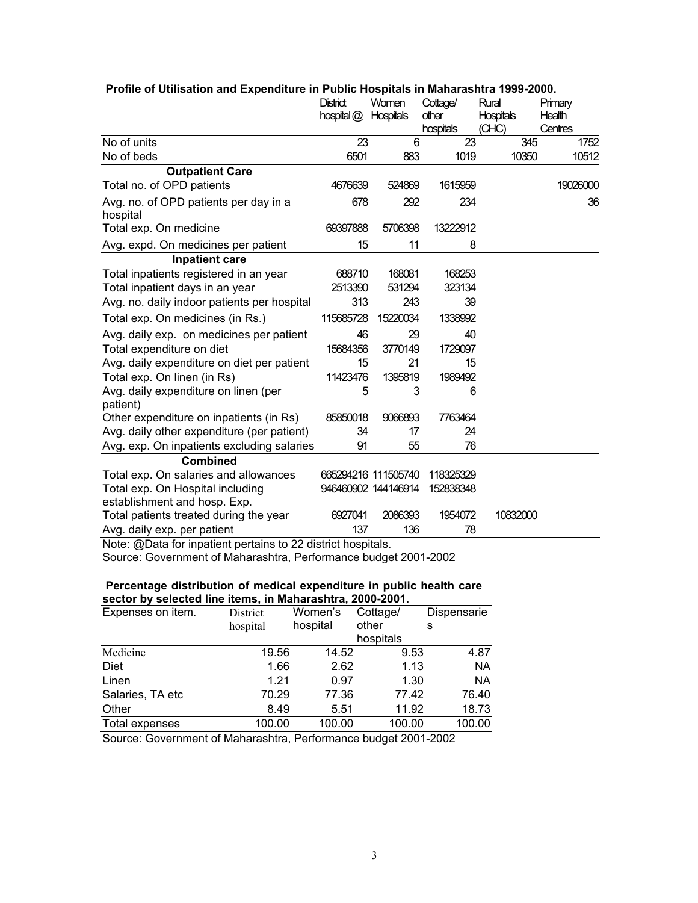|                                                              | <b>District</b> | Women               | Cottage/  | Rural            | Primary  |
|--------------------------------------------------------------|-----------------|---------------------|-----------|------------------|----------|
|                                                              | hospital@       | <b>Hospitals</b>    | other     | <b>Hospitals</b> | Health   |
|                                                              |                 |                     | hospitals | (CHC)            | Centres  |
| No of units                                                  | 23              | 6                   | 23        | 345              | 1752     |
| No of beds                                                   | 6501            | 883                 | 1019      | 10350            | 10512    |
| <b>Outpatient Care</b>                                       |                 |                     |           |                  |          |
| Total no. of OPD patients                                    | 4676639         | 524869              | 1615959   |                  | 19026000 |
| Avg. no. of OPD patients per day in a<br>hospital            | 678             | 292                 | 234       |                  | 36       |
| Total exp. On medicine                                       | 69397888        | 5706398             | 13222912  |                  |          |
| Avg. expd. On medicines per patient                          | 15              | 11                  | 8         |                  |          |
| <b>Inpatient care</b>                                        |                 |                     |           |                  |          |
| Total inpatients registered in an year                       | 688710          | 168081              | 168253    |                  |          |
| Total inpatient days in an year                              | 2513390         | 531294              | 323134    |                  |          |
| Avg. no. daily indoor patients per hospital                  | 313             | 243                 | 39        |                  |          |
| Total exp. On medicines (in Rs.)                             | 115685728       | 15220034            | 1338992   |                  |          |
| Avg. daily exp. on medicines per patient                     | 46              | 29                  | 40        |                  |          |
| Total expenditure on diet                                    | 15684356        | 3770149             | 1729097   |                  |          |
| Avg. daily expenditure on diet per patient                   | 15              | 21                  | 15        |                  |          |
| Total exp. On linen (in Rs)                                  | 11423476        | 1395819             | 1989492   |                  |          |
| Avg. daily expenditure on linen (per<br>patient)             | 5               | 3                   | 6         |                  |          |
| Other expenditure on inpatients (in Rs)                      | 85850018        | 9066893             | 7763464   |                  |          |
| Avg. daily other expenditure (per patient)                   | 34              | 17                  | 24        |                  |          |
| Avg. exp. On inpatients excluding salaries                   | 91              | 55                  | 76        |                  |          |
| <b>Combined</b>                                              |                 |                     |           |                  |          |
| Total exp. On salaries and allowances                        |                 | 665294216 111505740 | 118325329 |                  |          |
| Total exp. On Hospital including                             |                 | 946460902 144146914 | 152838348 |                  |          |
| establishment and hosp. Exp.                                 |                 |                     |           |                  |          |
| Total patients treated during the year                       | 6927041         | 2086393             | 1954072   | 10832000         |          |
| Avg. daily exp. per patient                                  | 137             | 136                 | 78        |                  |          |
| Note: @Data for inpatient pertains to 22 district hospitals. |                 |                     |           |                  |          |

## **Profile of Utilisation and Expenditure in Public Hospitals in Maharashtra 1999-2000.**

Source: Government of Maharashtra, Performance budget 2001-2002

## **Percentage distribution of medical expenditure in public health care sector by selected line items, in Maharashtra, 2000-2001.**

| Expenses on item. | District | Women's  | Cottage/  | Dispensarie |
|-------------------|----------|----------|-----------|-------------|
|                   | hospital | hospital | other     | s           |
|                   |          |          | hospitals |             |
| Medicine          | 19.56    | 14.52    | 9.53      | 4.87        |
| Diet              | 1.66     | 2.62     | 1.13      | <b>NA</b>   |
| Linen             | 1.21     | 0.97     | 1.30      | <b>NA</b>   |
| Salaries, TA etc  | 70.29    | 77.36    | 77.42     | 76.40       |
| Other             | 8.49     | 5.51     | 11.92     | 18.73       |
| Total expenses    | 100.00   | 100.00   | 100.00    | 100.00      |

Source: Government of Maharashtra, Performance budget 2001-2002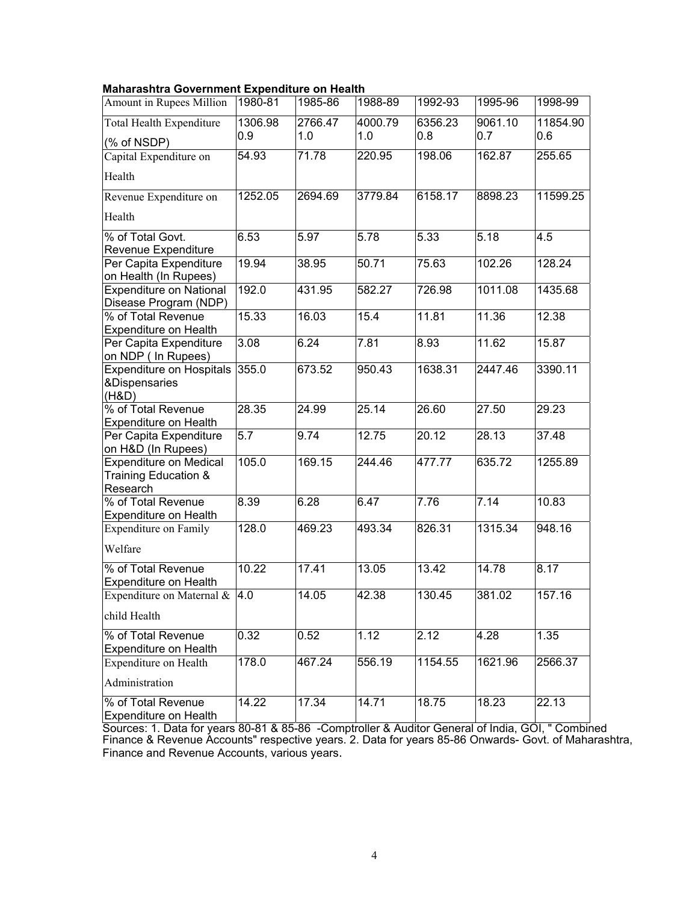#### **Maharashtra Government Expenditure on Health**

| Amount in Rupees Million                                          | 1980-81 | 1985-86 | 1988-89 | 1992-93 | 1995-96 | 1998-99  |
|-------------------------------------------------------------------|---------|---------|---------|---------|---------|----------|
| <b>Total Health Expenditure</b>                                   | 1306.98 | 2766.47 | 4000.79 | 6356.23 | 9061.10 | 11854.90 |
| (% of NSDP)                                                       | 0.9     | 1.0     | 1.0     | 0.8     | 0.7     | 0.6      |
| Capital Expenditure on                                            | 54.93   | 71.78   | 220.95  | 198.06  | 162.87  | 255.65   |
| Health                                                            |         |         |         |         |         |          |
| Revenue Expenditure on                                            | 1252.05 | 2694.69 | 3779.84 | 6158.17 | 8898.23 | 11599.25 |
| Health                                                            |         |         |         |         |         |          |
| % of Total Govt.                                                  | 6.53    | 5.97    | 5.78    | 5.33    | 5.18    | 4.5      |
| <b>Revenue Expenditure</b>                                        |         |         |         |         |         |          |
| Per Capita Expenditure<br>on Health (In Rupees)                   | 19.94   | 38.95   | 50.71   | 75.63   | 102.26  | 128.24   |
| <b>Expenditure on National</b><br>Disease Program (NDP)           | 192.0   | 431.95  | 582.27  | 726.98  | 1011.08 | 1435.68  |
| % of Total Revenue                                                | 15.33   | 16.03   | 15.4    | 11.81   | 11.36   | 12.38    |
| <b>Expenditure on Health</b>                                      |         |         |         |         |         |          |
| Per Capita Expenditure<br>on NDP ( In Rupees)                     | 3.08    | 6.24    | 7.81    | 8.93    | 11.62   | 15.87    |
| <b>Expenditure on Hospitals</b>                                   | 355.0   | 673.52  | 950.43  | 1638.31 | 2447.46 | 3390.11  |
| &Dispensaries<br>(H&D)                                            |         |         |         |         |         |          |
| % of Total Revenue                                                | 28.35   | 24.99   | 25.14   | 26.60   | 27.50   | 29.23    |
| Expenditure on Health                                             |         |         |         |         |         |          |
| Per Capita Expenditure                                            | 5.7     | 9.74    | 12.75   | 20.12   | 28.13   | 37.48    |
| on H&D (In Rupees)                                                |         |         |         |         |         |          |
| <b>Expenditure on Medical</b><br>Training Education &<br>Research | 105.0   | 169.15  | 244.46  | 477.77  | 635.72  | 1255.89  |
| % of Total Revenue                                                | 8.39    | 6.28    | 6.47    | 7.76    | 7.14    | 10.83    |
| <b>Expenditure on Health</b>                                      |         |         |         |         |         |          |
| <b>Expenditure on Family</b>                                      | 128.0   | 469.23  | 493.34  | 826.31  | 1315.34 | 948.16   |
| Welfare                                                           |         |         |         |         |         |          |
| % of Total Revenue                                                | 10.22   | 17.41   | 13.05   | 13.42   | 14.78   | 8.17     |
| <b>Expenditure on Health</b>                                      |         |         |         |         |         |          |
| Expenditure on Maternal &<br>child Health                         | 4.0     | 14.05   | 42.38   | 130.45  | 381.02  | 157.16   |
| % of Total Revenue                                                | 0.32    | 0.52    | 1.12    | 2.12    | 4.28    | 1.35     |
| <b>Expenditure on Health</b><br>Expenditure on Health             | 178.0   | 467.24  | 556.19  | 1154.55 | 1621.96 | 2566.37  |
|                                                                   |         |         |         |         |         |          |
| Administration                                                    |         |         |         |         |         |          |
| % of Total Revenue<br>Expenditure on Health                       | 14.22   | 17.34   | 14.71   | 18.75   | 18.23   | 22.13    |

Sources: 1. Data for years 80-81 & 85-86 -Comptroller & Auditor General of India, GOI, " Combined Finance & Revenue Accounts" respective years. 2. Data for years 85-86 Onwards- Govt. of Maharashtra, Finance and Revenue Accounts, various years.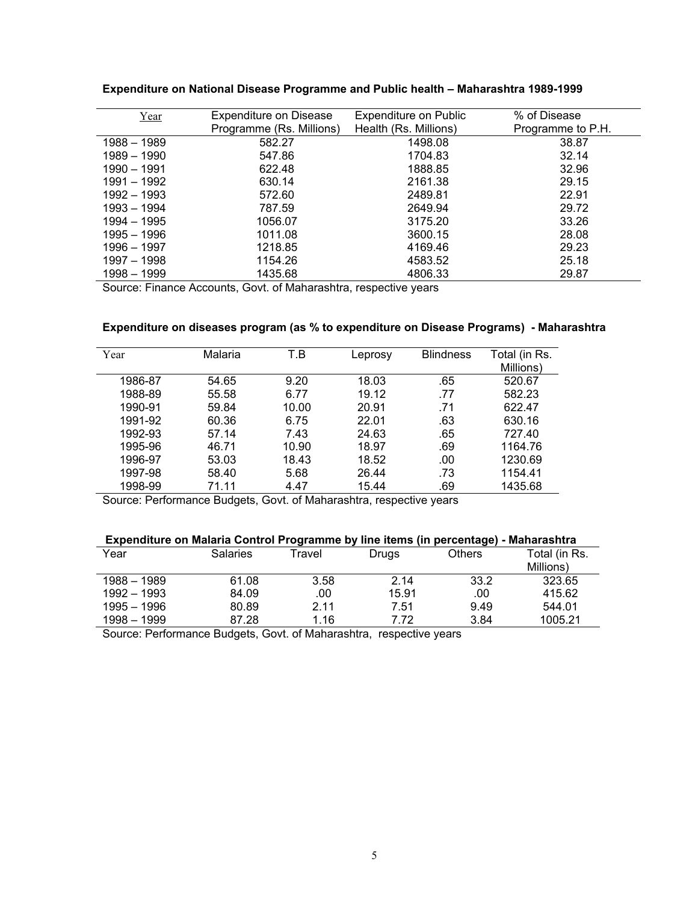| Year        | <b>Expenditure on Disease</b> | <b>Expenditure on Public</b> | % of Disease      |
|-------------|-------------------------------|------------------------------|-------------------|
|             | Programme (Rs. Millions)      | Health (Rs. Millions)        | Programme to P.H. |
| 1988 - 1989 | 582.27                        | 1498.08                      | 38.87             |
| 1989 - 1990 | 547.86                        | 1704.83                      | 32.14             |
| 1990 - 1991 | 622.48                        | 1888.85                      | 32.96             |
| 1991 - 1992 | 630.14                        | 2161.38                      | 29.15             |
| 1992 - 1993 | 572.60                        | 2489.81                      | 22.91             |
| 1993 - 1994 | 787.59                        | 2649.94                      | 29.72             |
| 1994 - 1995 | 1056.07                       | 3175.20                      | 33.26             |
| 1995 - 1996 | 1011.08                       | 3600.15                      | 28.08             |
| 1996 - 1997 | 1218.85                       | 4169.46                      | 29.23             |
| 1997 - 1998 | 1154.26                       | 4583.52                      | 25.18             |
| 1998 - 1999 | 1435.68                       | 4806.33                      | 29.87             |

**Expenditure on National Disease Programme and Public health – Maharashtra 1989-1999** 

Source: Finance Accounts, Govt. of Maharashtra, respective years

### **Expenditure on diseases program (as % to expenditure on Disease Programs) - Maharashtra**

| Year    | Malaria | T.B   | Leprosy | <b>Blindness</b> | Total (in Rs.<br>Millions) |
|---------|---------|-------|---------|------------------|----------------------------|
| 1986-87 | 54.65   | 9.20  | 18.03   | .65              | 520.67                     |
| 1988-89 | 55.58   | 6.77  | 19.12   | .77              | 582.23                     |
| 1990-91 | 59.84   | 10.00 | 20.91   | .71              | 622.47                     |
| 1991-92 | 60.36   | 6.75  | 22.01   | .63              | 630.16                     |
| 1992-93 | 57.14   | 7.43  | 24.63   | .65              | 727.40                     |
| 1995-96 | 46.71   | 10.90 | 18.97   | .69              | 1164.76                    |
| 1996-97 | 53.03   | 18.43 | 18.52   | .00              | 1230.69                    |
| 1997-98 | 58.40   | 5.68  | 26.44   | .73              | 1154.41                    |
| 1998-99 | 71.11   | 4.47  | 15.44   | .69              | 1435.68                    |

Source: Performance Budgets, Govt. of Maharashtra, respective years

## **Expenditure on Malaria Control Programme by line items (in percentage) - Maharashtra**

|             |          |        |       | --            |               |
|-------------|----------|--------|-------|---------------|---------------|
| Year        | Salaries | Travel | Drugs | <b>Others</b> | Total (in Rs. |
|             |          |        |       |               | Millions)     |
| 1988 - 1989 | 61.08    | 3.58   | 2.14  | 33.2          | 323.65        |
| 1992 - 1993 | 84.09    | .00    | 15.91 | .00           | 415.62        |
| 1995 - 1996 | 80.89    | 2.11   | 7.51  | 9.49          | 544.01        |
| 1998 - 1999 | 87.28    | 1.16   | 7.72  | 3.84          | 1005.21       |
|             |          |        |       |               |               |

Source: Performance Budgets, Govt. of Maharashtra, respective years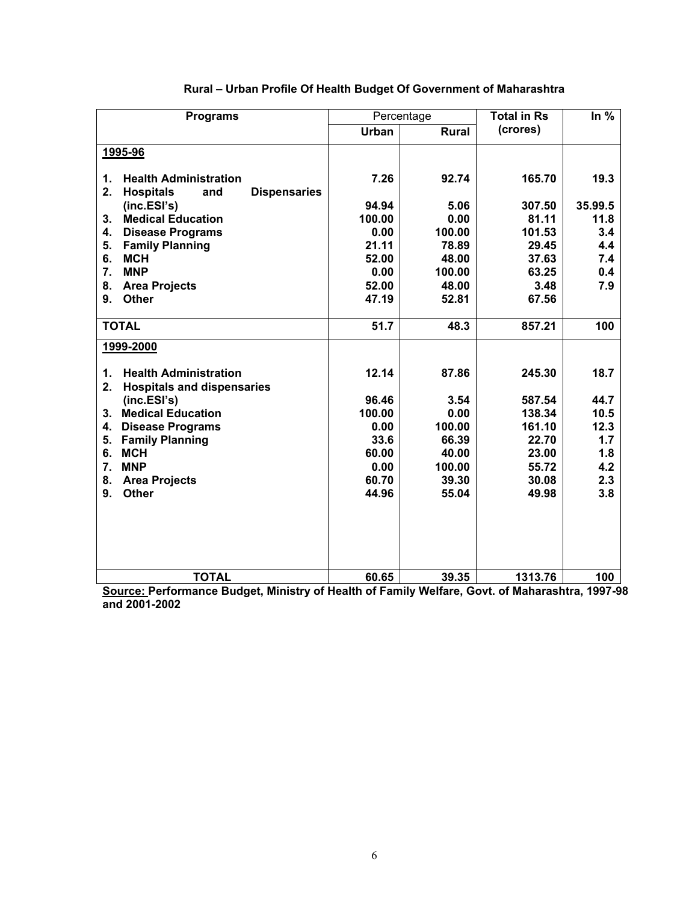| <b>Programs</b>                                                                          |              | Percentage   | <b>Total in Rs</b> | In $%$  |
|------------------------------------------------------------------------------------------|--------------|--------------|--------------------|---------|
|                                                                                          | <b>Urban</b> | <b>Rural</b> | (crores)           |         |
| 1995-96                                                                                  |              |              |                    |         |
|                                                                                          |              |              |                    |         |
| <b>Health Administration</b><br>1.                                                       | 7.26         | 92.74        | 165.70             | 19.3    |
| 2.<br><b>Hospitals</b><br><b>Dispensaries</b><br>and                                     |              |              |                    |         |
| (inc.ESI's)                                                                              | 94.94        | 5.06         | 307.50             | 35.99.5 |
| <b>Medical Education</b><br>$3_{-}$                                                      | 100.00       | 0.00         | 81.11              | 11.8    |
| 4.<br><b>Disease Programs</b>                                                            | 0.00         | 100.00       | 101.53             | 3.4     |
| 5.<br><b>Family Planning</b>                                                             | 21.11        | 78.89        | 29.45              | 4.4     |
| 6.<br><b>MCH</b>                                                                         | 52.00        | 48.00        | 37.63              | 7.4     |
| 7.<br><b>MNP</b>                                                                         | 0.00         | 100.00       | 63.25              | 0.4     |
| 8.<br><b>Area Projects</b>                                                               | 52.00        | 48.00        | 3.48               | 7.9     |
| <b>Other</b><br>9.                                                                       | 47.19        | 52.81        | 67.56              |         |
| <b>TOTAL</b>                                                                             | 51.7         | 48.3         | 857.21             | 100     |
| 1999-2000                                                                                |              |              |                    |         |
| <b>Health Administration</b><br>$\mathbf 1$ .<br>2.<br><b>Hospitals and dispensaries</b> | 12.14        | 87.86        | 245.30             | 18.7    |
| (inc.ESI's)                                                                              | 96.46        | 3.54         | 587.54             | 44.7    |
| <b>Medical Education</b><br>3 <sub>1</sub>                                               | 100.00       | 0.00         | 138.34             | 10.5    |
| <b>Disease Programs</b><br>4.                                                            | 0.00         | 100.00       | 161.10             | 12.3    |
| <b>Family Planning</b><br>5.                                                             | 33.6         | 66.39        | 22.70              | 1.7     |
| <b>MCH</b><br>6.                                                                         | 60.00        | 40.00        | 23.00              | 1.8     |
| 7.<br><b>MNP</b>                                                                         | 0.00         | 100.00       | 55.72              | 4.2     |
| 8.<br><b>Area Projects</b>                                                               | 60.70        | 39.30        | 30.08              | 2.3     |
| 9.<br><b>Other</b>                                                                       | 44.96        | 55.04        | 49.98              | 3.8     |
|                                                                                          |              |              |                    |         |
| <b>TOTAL</b>                                                                             | 60.65        | 39.35        | 1313.76            | 100     |

## **Rural – Urban Profile Of Health Budget Of Government of Maharashtra**

**Source: Performance Budget, Ministry of Health of Family Welfare, Govt. of Maharashtra, 1997-98 and 2001-2002**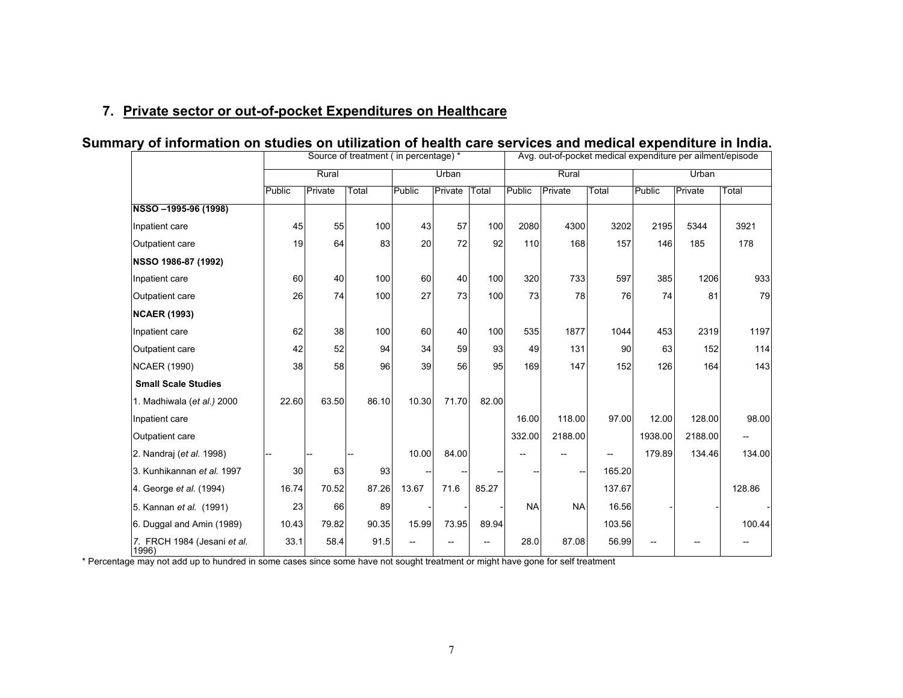## **7. Private sector or out-of-pocket Expenditures on Healthcare**

|                                      |        | Source of treatment ( in percentage) * |       |        |         |       |           |           | Avg. out-of-pocket medical expenditure per ailment/episode |         |                |        |  |  |
|--------------------------------------|--------|----------------------------------------|-------|--------|---------|-------|-----------|-----------|------------------------------------------------------------|---------|----------------|--------|--|--|
|                                      |        | Rural                                  |       |        | Urban   |       |           | Rural     |                                                            |         | Urban          |        |  |  |
|                                      | Public | Private                                | Total | Public | Private | Total | Public    | Private   | Total                                                      | Public  | <b>Private</b> | Total  |  |  |
| NSSO-1995-96 (1998)                  |        |                                        |       |        |         |       |           |           |                                                            |         |                |        |  |  |
| Inpatient care                       | 45     | 55                                     | 100   | 43     | 57      | 100   | 2080      | 4300      | 3202                                                       | 2195    | 5344           | 3921   |  |  |
| Outpatient care                      | 19     | 64                                     | 83    | 20     | 72      | 92    | 110       | 168       | 157                                                        | 146     | 185            | 178    |  |  |
| NSSO 1986-87 (1992)                  |        |                                        |       |        |         |       |           |           |                                                            |         |                |        |  |  |
| Inpatient care                       | 60     | 40                                     | 100   | 60     | 40      | 100   | 320       | 733       | 597                                                        | 385     | 1206           | 933    |  |  |
| Outpatient care                      | 26     | 74                                     | 100   | 27     | 73      | 100   | 73        | 78        | 76                                                         | 74      | 81             | 79     |  |  |
| <b>NCAER (1993)</b>                  |        |                                        |       |        |         |       |           |           |                                                            |         |                |        |  |  |
| Inpatient care                       | 62     | 38                                     | 100   | 60     | 40      | 100   | 535       | 1877      | 1044                                                       | 453     | 2319           | 1197   |  |  |
| Outpatient care                      | 42     | 52                                     | 94    | 34     | 59      | 93    | 49        | 131       | 90                                                         | 63      | 152            | 114    |  |  |
| <b>NCAER (1990)</b>                  | 38     | 58                                     | 96    | 39     | 56      | 95    | 169       | 147       | 152                                                        | 126     | 164            | 143    |  |  |
| <b>Small Scale Studies</b>           |        |                                        |       |        |         |       |           |           |                                                            |         |                |        |  |  |
| 1. Madhiwala (et al.) 2000           | 22.60  | 63.50                                  | 86.10 | 10.30  | 71.70   | 82.00 |           |           |                                                            |         |                |        |  |  |
| Inpatient care                       |        |                                        |       |        |         |       | 16.00     | 118.00    | 97.00                                                      | 12.00   | 128.00         | 98.00  |  |  |
| Outpatient care                      |        |                                        |       |        |         |       | 332.00    | 2188.00   |                                                            | 1938.00 | 2188.00        |        |  |  |
| 2. Nandraj (et al. 1998)             |        |                                        |       | 10.00  | 84.00   |       |           |           |                                                            | 179.89  | 134.46         | 134.00 |  |  |
| 3. Kunhikannan et al. 1997           | 30     | 63                                     | 93    |        |         |       |           |           | 165.20                                                     |         |                |        |  |  |
| 4. George et al. (1994)              | 16.74  | 70.52                                  | 87.26 | 13.67  | 71.6    | 85.27 |           |           | 137.67                                                     |         |                | 128.86 |  |  |
| 5. Kannan et al. (1991)              | 23     | 66                                     | 89    |        |         |       | <b>NA</b> | <b>NA</b> | 16.56                                                      |         |                |        |  |  |
| 6. Duggal and Amin (1989)            | 10.43  | 79.82                                  | 90.35 | 15.99  | 73.95   | 89.94 |           |           | 103.56                                                     |         |                | 100.44 |  |  |
| 7. FRCH 1984 (Jesani et al.<br>1996) | 33.1   | 58.4                                   | 91.5  |        |         |       | 28.0      | 87.08     | 56.99                                                      |         |                |        |  |  |

## **Summary of information on studies on utilization of health care services and medical expenditure in India.**

\* Percentage may not add up to hundred in some cases since some have not sought treatment or might have gone for self treatment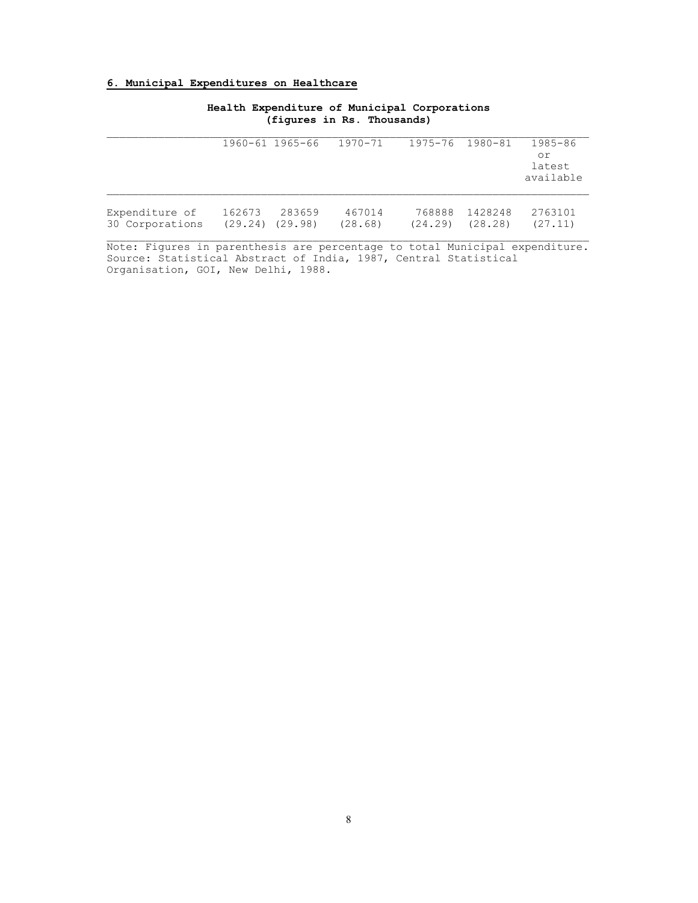#### **6. Municipal Expenditures on Healthcare**

|                 |        | 1960-61 1965-66     | 1970-71 | 1975-76 1980-81 |         | 1985-86<br>оr<br>latest<br>available |
|-----------------|--------|---------------------|---------|-----------------|---------|--------------------------------------|
| Expenditure of  | 162673 | 283659              | 467014  | 768888          | 1428248 | 2763101                              |
| 30 Corporations |        | $(29.24)$ $(29.98)$ | (28.68) | (24.29)         | (28.28) | (27.11)                              |

**Health Expenditure of Municipal Corporations (figures in Rs. Thousands)** 

Note: Figures in parenthesis are percentage to total Municipal expenditure. Source: Statistical Abstract of India, 1987, Central Statistical Organisation, GOI, New Delhi, 1988.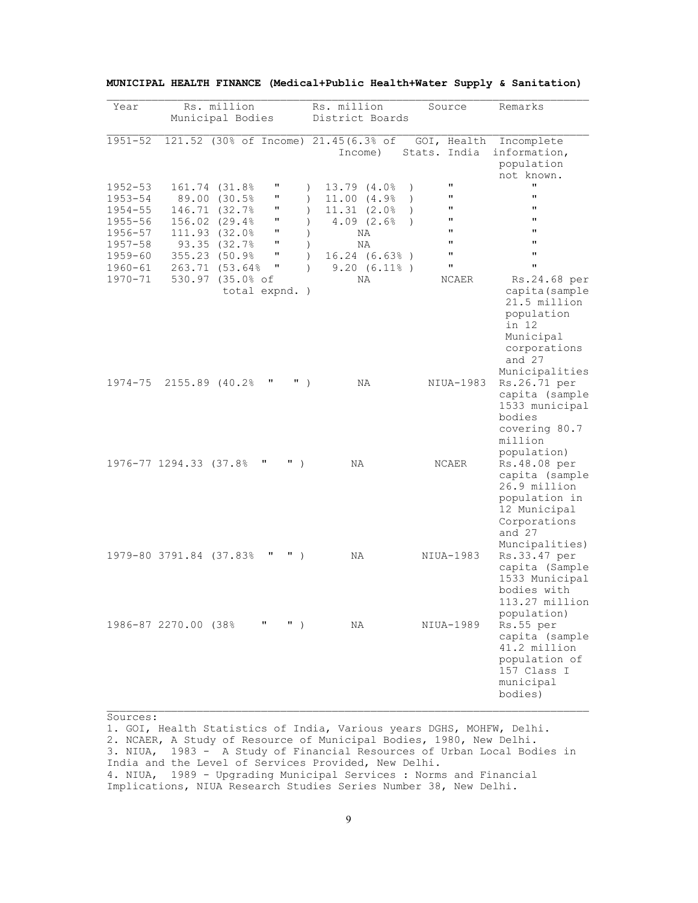| Year                                             |                         | Rs. million<br>Municipal Bodies                                 |                                   | Rs. million<br>District Boards                                                                     | Source                                                                                      | Remarks                                                                                                                            |
|--------------------------------------------------|-------------------------|-----------------------------------------------------------------|-----------------------------------|----------------------------------------------------------------------------------------------------|---------------------------------------------------------------------------------------------|------------------------------------------------------------------------------------------------------------------------------------|
| $1951 - 52$                                      |                         |                                                                 | 121.52 (30% of Income)            | 21.45(6.3% of<br>Income)                                                                           | GOI, Health<br>Stats. India                                                                 | Incomplete<br>information,<br>population<br>not known.                                                                             |
| $1952 - 53$<br>$1953 - 54$<br>$1954 - 55$        |                         | 161.74 (31.8%)<br>89.00 (30.5%<br>146.71 (32.7%)                | П<br>П<br>П                       | 13.79 (4.0%)<br>$\mathcal{L}$<br>11.00 (4.9%<br>$\lambda$<br>11.31 (2.0%<br>$\lambda$              | $\mathbf{H}$<br>$\lambda$<br>П<br>$\lambda$<br>$\mathbf{H}$<br>$\lambda$                    | $\mathbf{u}$<br>$\mathbf{H}$<br>11                                                                                                 |
| $1955 - 56$<br>1956-57<br>$1957 - 58$<br>1959-60 |                         | 156.02 (29.4%<br>111.93 (32.0%<br>93.35 (32.7%<br>355.23 (50.9% | π<br>$\pmb{\mathsf{H}}$<br>п<br>П | $4.09$ $(2.6%$<br>$\lambda$<br>$\lambda$<br>ΝA<br>ΝA<br>$\lambda$<br>$16.24$ $(6.63)$<br>$\lambda$ | $\mathbf{H}$<br>$\lambda$<br>$\pmb{\mathsf{H}}$<br>$\pmb{\mathsf{H}}$<br>$\pmb{\mathsf{H}}$ | $\mathbf{H}$<br>$\mathbf{H}$<br>11<br>$\mathbf{H}$                                                                                 |
| 1960-61<br>1970-71                               |                         | 263.71 (53.64%<br>530.97 (35.0% of                              | π<br>total expnd. )               | 9.20(6.11)<br>$\lambda$<br>ΝA                                                                      | $\pmb{\mathsf{H}}$<br>NCAER                                                                 | $\pmb{\mathsf{H}}$<br>Rs.24.68 per<br>capita (sample<br>21.5 million<br>population<br>in 12<br>Municipal<br>corporations<br>and 27 |
| 1974-75                                          | 2155.89 (40.2%          |                                                                 | π<br>$\mathbf{u}$ )               | NA                                                                                                 | NIUA-1983                                                                                   | Municipalities<br>Rs.26.71 per<br>capita (sample<br>1533 municipal<br>bodies<br>covering 80.7<br>million                           |
|                                                  | 1976-77 1294.33 (37.8%  |                                                                 | π<br>$"$ )                        | ΝA                                                                                                 | NCAER                                                                                       | population)<br>Rs.48.08 per<br>capita (sample<br>26.9 million<br>population in<br>12 Municipal<br>Corporations<br>and 27           |
|                                                  | 1979-80 3791.84 (37.83% |                                                                 | π<br>$\mathbf{H}$ )               | ΝA                                                                                                 | NIUA-1983                                                                                   | Muncipalities)<br>Rs.33.47 per<br>capita (Sample<br>1533 Municipal<br>bodies with<br>113.27 million                                |
|                                                  | 1986-87 2270.00 (38%    |                                                                 | $"$ )<br>π                        | ΝA                                                                                                 | NIUA-1989                                                                                   | population)<br>Rs.55 per<br>capita (sample<br>41.2 million<br>population of<br>157 Class I<br>municipal<br>bodies)                 |

|  | MUNICIPAL HEALTH FINANCE (Medical+Public Health+Water Supply & Sanitation) |  |
|--|----------------------------------------------------------------------------|--|
|--|----------------------------------------------------------------------------|--|

Sources:

1. GOI, Health Statistics of India, Various years DGHS, MOHFW, Delhi. 2. NCAER, A Study of Resource of Municipal Bodies, 1980, New Delhi. 3. NIUA, 1983 - A Study of Financial Resources of Urban Local Bodies in India and the Level of Services Provided, New Delhi. 4. NIUA, 1989 - Upgrading Municipal Services : Norms and Financial Implications, NIUA Research Studies Series Number 38, New Delhi.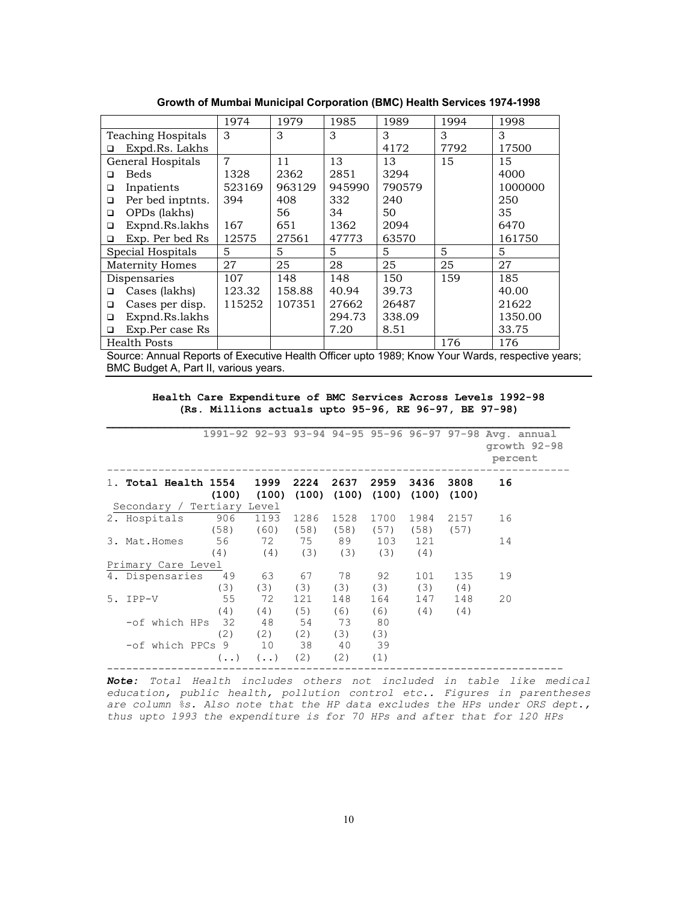|                           | 1974           | 1979   | 1985   | 1989   | 1994 | 1998    |
|---------------------------|----------------|--------|--------|--------|------|---------|
| <b>Teaching Hospitals</b> | 3              | 3      | 3      | 3      | 3    | 3       |
| Expd.Rs. Lakhs<br>□       |                |        |        | 4172   | 7792 | 17500   |
| General Hospitals         | $\overline{7}$ | 11     | 13     | 13     | 15   | 15      |
| Beds<br>□                 | 1328           | 2362   | 2851   | 3294   |      | 4000    |
| Inpatients<br>□           | 523169         | 963129 | 945990 | 790579 |      | 1000000 |
| Per bed inptnts.<br>□     | 394            | 408    | 332    | 240    |      | 250     |
| OPDs (lakhs)<br>$\Box$    |                | 56     | 34     | 50     |      | 35      |
| Expnd.Rs.lakhs<br>□       | 167            | 651    | 1362   | 2094   |      | 6470    |
| Exp. Per bed Rs<br>□      | 12575          | 27561  | 47773  | 63570  |      | 161750  |
| Special Hospitals         | 5              | 5      | 5      | 5      | 5    | 5       |
| <b>Maternity Homes</b>    | 27             | 25     | 28     | 25     | 25   | 27      |
| Dispensaries              | 107            | 148    | 148    | 150    | 159  | 185     |
| Cases (lakhs)<br>◻        | 123.32         | 158.88 | 40.94  | 39.73  |      | 40.00   |
| Cases per disp.<br>$\Box$ | 115252         | 107351 | 27662  | 26487  |      | 21622   |
| Expnd.Rs.lakhs<br>□       |                |        | 294.73 | 338.09 |      | 1350.00 |
| Exp.Per case Rs<br>□      |                |        | 7.20   | 8.51   |      | 33.75   |
| <b>Health Posts</b>       |                |        |        |        | 176  | 176     |

**Growth of Mumbai Municipal Corporation (BMC) Health Services 1974-1998** 

Source: Annual Reports of Executive Health Officer upto 1989; Know Your Wards, respective years; BMC Budget A, Part II, various years.

**Health Care Expenditure of BMC Services Across Levels 1992-98 (Rs. Millions actuals upto 95-96, RE 96-97, BE 97-98)** 

**\_\_\_\_\_\_\_\_\_\_\_\_\_\_\_\_\_\_\_\_\_\_\_\_\_\_\_\_\_\_\_\_\_\_\_\_\_\_\_\_\_\_\_\_\_\_\_\_\_\_\_\_\_\_\_\_\_\_\_\_\_\_\_\_\_\_\_\_\_\_\_\_**

|                            |                  |                  |                 |          |                                         |      |               | 1991-92 92-93 93-94 94-95 95-96 96-97 97-98 Avg. annual<br>growth 92-98<br>percent |
|----------------------------|------------------|------------------|-----------------|----------|-----------------------------------------|------|---------------|------------------------------------------------------------------------------------|
| 1. Total Health 1554       | (100)            | 1999<br>(100)    | 2224            | 2637     | 2959<br>$(100)$ $(100)$ $(100)$ $(100)$ | 3436 | 3808<br>(100) | 16                                                                                 |
| Secondary / Tertiary Level |                  |                  |                 |          |                                         |      |               |                                                                                    |
| 2. Hospitals               | 906              | 1193             | 1286            | 1528     | 1700                                    | 1984 | 2157          | 16                                                                                 |
|                            | (58)             | $(60)$ $(58)$    |                 | (58)     | (57)                                    | (58) | (57)          |                                                                                    |
| 3. Mat. Homes              | 56               |                  |                 | 72 75 89 | 103                                     | 121  |               | 14                                                                                 |
|                            | (4)              | $(4)$ $(3)$      |                 | (3)      | (3)                                     | (4)  |               |                                                                                    |
| Primary Care Level         |                  |                  |                 |          |                                         |      |               |                                                                                    |
| 4. Dispensaries            | 49               | 63               | 67              | 78       | 92                                      | 101  | 135           | 19                                                                                 |
|                            | (3)              | (3)              | (3)             | (3)      | (3)                                     | (3)  | (4)           |                                                                                    |
| 5. IPP-V                   | - 55             | 72               | 121             | 148      | 164                                     | 147  | 148           | 20                                                                                 |
|                            | (4)              | (4)              | (5)             | (6)      | (6)                                     | (4)  | (4)           |                                                                                    |
| -of which HPs              | 32               | -48              | 54              | 73       | 80                                      |      |               |                                                                                    |
|                            | (2)              | (2)              | (2)             | (3)      | (3)                                     |      |               |                                                                                    |
| -of which PPCs 9           |                  | 10               | $\overline{38}$ | 40       | 39                                      |      |               |                                                                                    |
|                            | $(\cdot, \cdot)$ | $(\cdot, \cdot)$ | (2)             | (2)      | (1)                                     |      |               |                                                                                    |

*Note: Total Health includes others not included in table like medical education, public health, pollution control etc.. Figures in parentheses are column %s. Also note that the HP data excludes the HPs under ORS dept., thus upto 1993 the expenditure is for 70 HPs and after that for 120 HPs*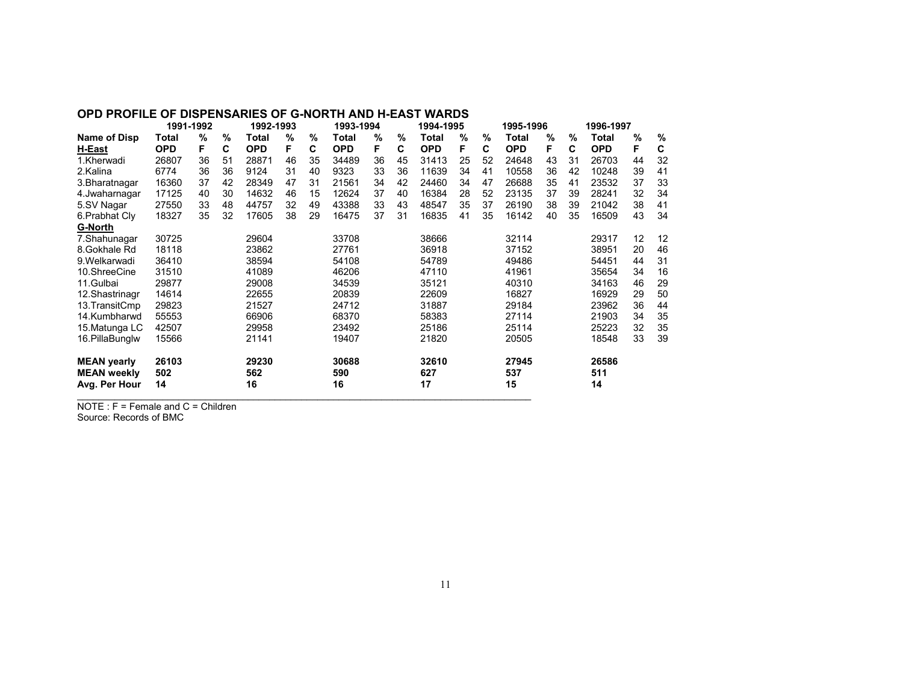#### **OPD PROFILE OF DISPENSARIES OF G-NORTH AND H-EAST WARDS**

|                    | 1991-1992  |    | 1992-1993 |            |    | 1993-1994 |            | 1994-1995 |    |            | 1995-1996 |    | 1996-1997  |    |    |            |    |    |
|--------------------|------------|----|-----------|------------|----|-----------|------------|-----------|----|------------|-----------|----|------------|----|----|------------|----|----|
| Name of Disp       | Total      | %  | %         | Total      | %  | %         | Total      | %         | %  | Total      | %         | %  | Total      | %  | %  | Total      | %  | %  |
| H-East             | <b>OPD</b> | F. | C         | <b>OPD</b> | F  | C         | <b>OPD</b> | F         | C  | <b>OPD</b> | F         | C  | <b>OPD</b> | F  | C  | <b>OPD</b> | F  | C  |
| 1.Kherwadi         | 26807      | 36 | 51        | 28871      | 46 | 35        | 34489      | 36        | 45 | 31413      | 25        | 52 | 24648      | 43 | 31 | 26703      | 44 | 32 |
| 2.Kalina           | 6774       | 36 | 36        | 9124       | 31 | 40        | 9323       | 33        | 36 | 11639      | 34        | 41 | 10558      | 36 | 42 | 10248      | 39 | 41 |
| 3. Bharatnagar     | 16360      | 37 | 42        | 28349      | 47 | 31        | 21561      | 34        | 42 | 24460      | 34        | 47 | 26688      | 35 | 41 | 23532      | 37 | 33 |
| 4. Jwaharnagar     | 17125      | 40 | 30        | 14632      | 46 | 15        | 12624      | 37        | 40 | 16384      | 28        | 52 | 23135      | 37 | 39 | 28241      | 32 | 34 |
| 5.SV Nagar         | 27550      | 33 | 48        | 44757      | 32 | 49        | 43388      | 33        | 43 | 48547      | 35        | 37 | 26190      | 38 | 39 | 21042      | 38 | 41 |
| 6. Prabhat Cly     | 18327      | 35 | 32        | 17605      | 38 | 29        | 16475      | 37        | 31 | 16835      | 41        | 35 | 16142      | 40 | 35 | 16509      | 43 | 34 |
| <b>G-North</b>     |            |    |           |            |    |           |            |           |    |            |           |    |            |    |    |            |    |    |
| 7.Shahunagar       | 30725      |    |           | 29604      |    |           | 33708      |           |    | 38666      |           |    | 32114      |    |    | 29317      | 12 | 12 |
| 8. Gokhale Rd      | 18118      |    |           | 23862      |    |           | 27761      |           |    | 36918      |           |    | 37152      |    |    | 38951      | 20 | 46 |
| 9. Welkarwadi      | 36410      |    |           | 38594      |    |           | 54108      |           |    | 54789      |           |    | 49486      |    |    | 54451      | 44 | 31 |
| 10.ShreeCine       | 31510      |    |           | 41089      |    |           | 46206      |           |    | 47110      |           |    | 41961      |    |    | 35654      | 34 | 16 |
| 11.Gulbai          | 29877      |    |           | 29008      |    |           | 34539      |           |    | 35121      |           |    | 40310      |    |    | 34163      | 46 | 29 |
| 12. Shastrinagr    | 14614      |    |           | 22655      |    |           | 20839      |           |    | 22609      |           |    | 16827      |    |    | 16929      | 29 | 50 |
| 13. Transit Cmp    | 29823      |    |           | 21527      |    |           | 24712      |           |    | 31887      |           |    | 29184      |    |    | 23962      | 36 | 44 |
| 14.Kumbharwd       | 55553      |    |           | 66906      |    |           | 68370      |           |    | 58383      |           |    | 27114      |    |    | 21903      | 34 | 35 |
| 15. Matunga LC     | 42507      |    |           | 29958      |    |           | 23492      |           |    | 25186      |           |    | 25114      |    |    | 25223      | 32 | 35 |
| 16. Pilla Bunglw   | 15566      |    |           | 21141      |    |           | 19407      |           |    | 21820      |           |    | 20505      |    |    | 18548      | 33 | 39 |
| <b>MEAN yearly</b> | 26103      |    |           | 29230      |    |           | 30688      |           |    | 32610      |           |    | 27945      |    |    | 26586      |    |    |
| <b>MEAN weekly</b> | 502        |    |           | 562        |    |           | 590        |           |    | 627        |           |    | 537        |    |    | 511        |    |    |
| Avg. Per Hour      | 14         |    |           | 16         |    |           | 16         |           |    | 17         |           |    | 15         |    |    | 14         |    |    |

NOTE : F = Female and C = Children Source: Records of BMC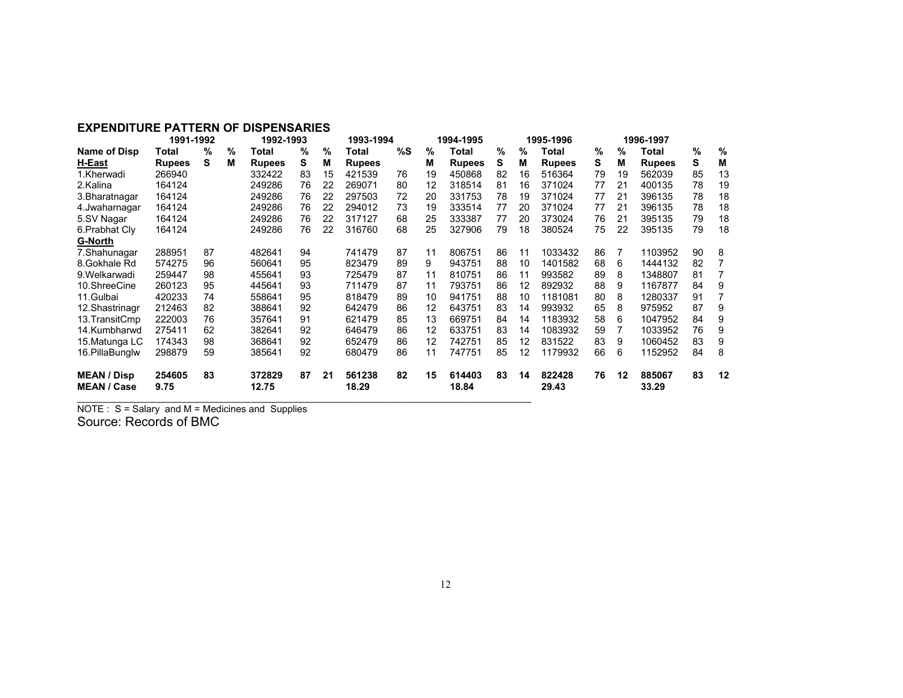#### **EXPENDITURE PATTERN OF DISPENSARIES**

|                                          | 1991-1992      |    |   | 1992-1993       |    |    | 1993-1994       |    | 1994-1995 |                 |      | 1995-1996 |                 |    | 1996-1997 |                 |      |    |
|------------------------------------------|----------------|----|---|-----------------|----|----|-----------------|----|-----------|-----------------|------|-----------|-----------------|----|-----------|-----------------|------|----|
| Name of Disp                             | Total          | %  | % | Total           | %  | %  | Total           | %S | %         | Total           | $\%$ | %         | Total           | %  | %         | Total           | $\%$ | %  |
| H-East                                   | <b>Rupees</b>  | s  | М | <b>Rupees</b>   | s  | м  | <b>Rupees</b>   |    | М         | <b>Rupees</b>   | s    | М         | <b>Rupees</b>   | s  | М         | <b>Rupees</b>   | s    | М  |
| 1.Kherwadi                               | 266940         |    |   | 332422          | 83 | 15 | 421539          | 76 | 19        | 450868          | 82   | 16        | 516364          | 79 | 19        | 562039          | 85   | 13 |
| 2.Kalina                                 | 164124         |    |   | 249286          | 76 | 22 | 269071          | 80 | 12        | 318514          | 81   | 16        | 371024          | 77 | 21        | 400135          | 78   | 19 |
| 3. Bharatnagar                           | 164124         |    |   | 249286          | 76 | 22 | 297503          | 72 | 20        | 331753          | 78   | 19        | 371024          | 77 | 21        | 396135          | 78   | 18 |
| 4.Jwaharnagar                            | 164124         |    |   | 249286          | 76 | 22 | 294012          | 73 | 19        | 333514          | 77   | 20        | 371024          | 77 | 21        | 396135          | 78   | 18 |
| 5.SV Nagar                               | 164124         |    |   | 249286          | 76 | 22 | 317127          | 68 | 25        | 333387          | 77   | 20        | 373024          | 76 | 21        | 395135          | 79   | 18 |
| 6. Prabhat Cly                           | 164124         |    |   | 249286          | 76 | 22 | 316760          | 68 | 25        | 327906          | 79   | 18        | 380524          | 75 | 22        | 395135          | 79   | 18 |
| G-North                                  |                |    |   |                 |    |    |                 |    |           |                 |      |           |                 |    |           |                 |      |    |
| 7.Shahunagar                             | 288951         | 87 |   | 482641          | 94 |    | 741479          | 87 | 11        | 806751          | 86   | 11        | 1033432         | 86 | 7         | 1103952         | 90   | 8  |
| 8. Gokhale Rd                            | 574275         | 96 |   | 560641          | 95 |    | 823479          | 89 | 9         | 943751          | 88   | 10        | 1401582         | 68 | 6         | 1444132         | 82   |    |
| 9. Welkarwadi                            | 259447         | 98 |   | 455641          | 93 |    | 725479          | 87 | 11        | 810751          | 86   | 11        | 993582          | 89 | 8         | 1348807         | 81   |    |
| 10.ShreeCine                             | 260123         | 95 |   | 445641          | 93 |    | 711479          | 87 | 11        | 793751          | 86   | 12        | 892932          | 88 | 9         | 1167877         | 84   | 9  |
| 11.Gulbai                                | 420233         | 74 |   | 558641          | 95 |    | 818479          | 89 | 10        | 941751          | 88   | 10        | 1181081         | 80 | 8         | 1280337         | 91   |    |
| 12. Shastrinagr                          | 212463         | 82 |   | 388641          | 92 |    | 642479          | 86 | 12        | 643751          | 83   | 14        | 993932          | 65 | 8         | 975952          | 87   | 9  |
| 13. Transit Cmp                          | 222003         | 76 |   | 357641          | 91 |    | 621479          | 85 | 13        | 669751          | 84   | 14        | 1183932         | 58 | 6         | 1047952         | 84   | 9  |
| 14.Kumbharwd                             | 275411         | 62 |   | 382641          | 92 |    | 646479          | 86 | 12        | 633751          | 83   | 14        | 1083932         | 59 |           | 1033952         | 76   | 9  |
| 15. Matunga LC                           | 174343         | 98 |   | 368641          | 92 |    | 652479          | 86 | 12        | 742751          | 85   | 12        | 831522          | 83 | 9         | 1060452         | 83   | 9  |
| 16. Pilla Bunglw                         | 298879         | 59 |   | 385641          | 92 |    | 680479          | 86 | 11        | 747751          | 85   | 12        | 1179932         | 66 | 6         | 1152952         | 84   | 8  |
| <b>MEAN / Disp</b><br><b>MEAN / Case</b> | 254605<br>9.75 | 83 |   | 372829<br>12.75 | 87 | 21 | 561238<br>18.29 | 82 | 15        | 614403<br>18.84 | 83   | 14        | 822428<br>29.43 | 76 | 12        | 885067<br>33.29 | 83   | 12 |

NOTE : S = Salary and M = Medicines and Supplies

Source: Records of BMC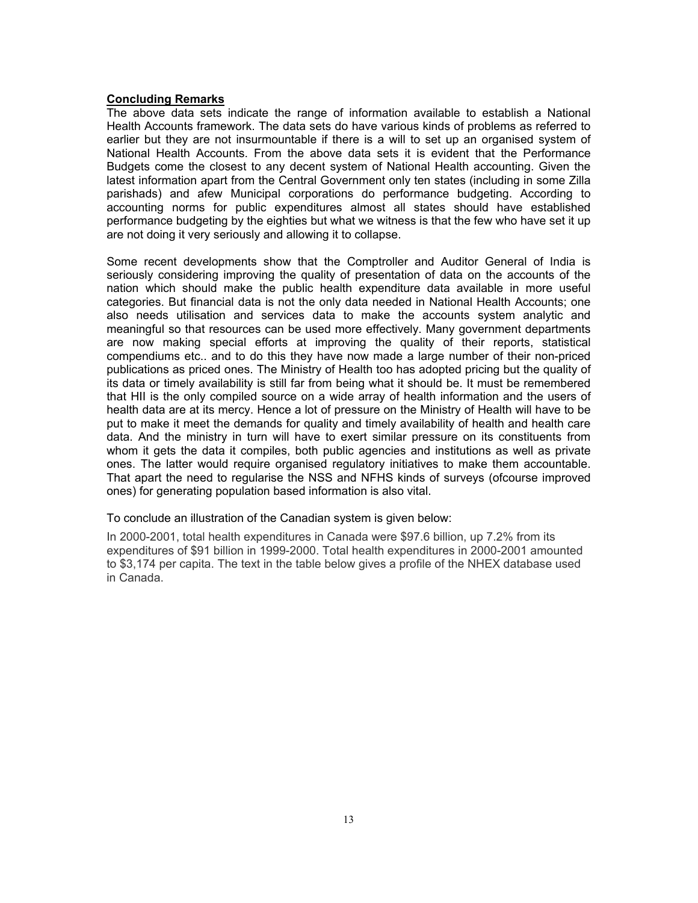#### **Concluding Remarks**

The above data sets indicate the range of information available to establish a National Health Accounts framework. The data sets do have various kinds of problems as referred to earlier but they are not insurmountable if there is a will to set up an organised system of National Health Accounts. From the above data sets it is evident that the Performance Budgets come the closest to any decent system of National Health accounting. Given the latest information apart from the Central Government only ten states (including in some Zilla parishads) and afew Municipal corporations do performance budgeting. According to accounting norms for public expenditures almost all states should have established performance budgeting by the eighties but what we witness is that the few who have set it up are not doing it very seriously and allowing it to collapse.

Some recent developments show that the Comptroller and Auditor General of India is seriously considering improving the quality of presentation of data on the accounts of the nation which should make the public health expenditure data available in more useful categories. But financial data is not the only data needed in National Health Accounts; one also needs utilisation and services data to make the accounts system analytic and meaningful so that resources can be used more effectively. Many government departments are now making special efforts at improving the quality of their reports, statistical compendiums etc.. and to do this they have now made a large number of their non-priced publications as priced ones. The Ministry of Health too has adopted pricing but the quality of its data or timely availability is still far from being what it should be. It must be remembered that HII is the only compiled source on a wide array of health information and the users of health data are at its mercy. Hence a lot of pressure on the Ministry of Health will have to be put to make it meet the demands for quality and timely availability of health and health care data. And the ministry in turn will have to exert similar pressure on its constituents from whom it gets the data it compiles, both public agencies and institutions as well as private ones. The latter would require organised regulatory initiatives to make them accountable. That apart the need to regularise the NSS and NFHS kinds of surveys (ofcourse improved ones) for generating population based information is also vital.

To conclude an illustration of the Canadian system is given below:

In 2000-2001, total health expenditures in Canada were \$97.6 billion, up 7.2% from its expenditures of \$91 billion in 1999-2000. Total health expenditures in 2000-2001 amounted to \$3,174 per capita. The text in the table below gives a profile of the NHEX database used in Canada.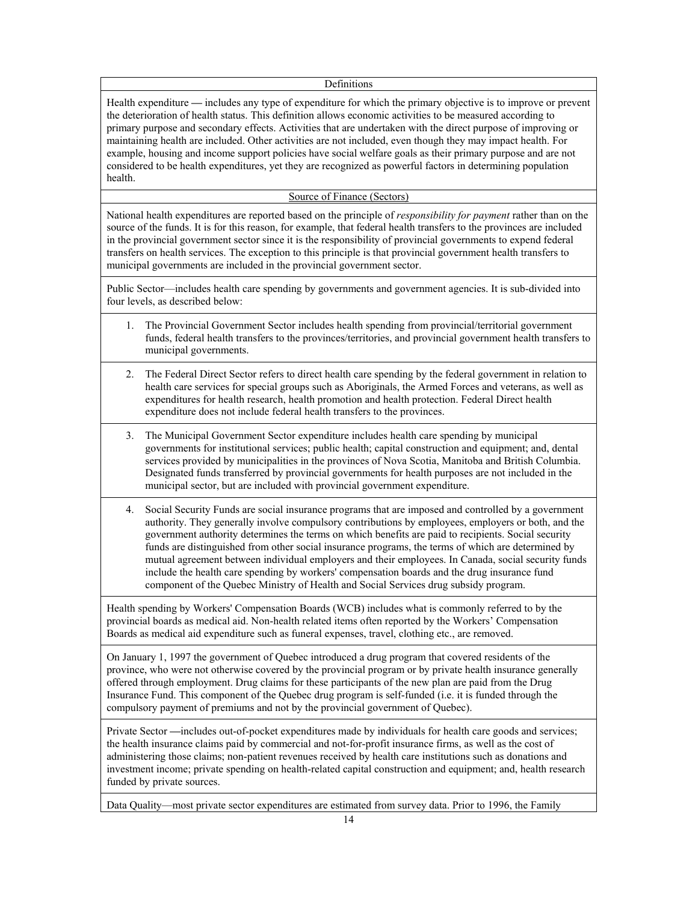#### Definitions

Health expenditure **—** includes any type of expenditure for which the primary objective is to improve or prevent the deterioration of health status. This definition allows economic activities to be measured according to primary purpose and secondary effects. Activities that are undertaken with the direct purpose of improving or maintaining health are included. Other activities are not included, even though they may impact health. For example, housing and income support policies have social welfare goals as their primary purpose and are not considered to be health expenditures, yet they are recognized as powerful factors in determining population health.

### Source of Finance (Sectors)

National health expenditures are reported based on the principle of *responsibility for payment* rather than on the source of the funds. It is for this reason, for example, that federal health transfers to the provinces are included in the provincial government sector since it is the responsibility of provincial governments to expend federal transfers on health services. The exception to this principle is that provincial government health transfers to municipal governments are included in the provincial government sector.

Public Sector—includes health care spending by governments and government agencies. It is sub-divided into four levels, as described below:

- 1. The Provincial Government Sector includes health spending from provincial/territorial government funds, federal health transfers to the provinces/territories, and provincial government health transfers to municipal governments.
- 2. The Federal Direct Sector refers to direct health care spending by the federal government in relation to health care services for special groups such as Aboriginals, the Armed Forces and veterans, as well as expenditures for health research, health promotion and health protection. Federal Direct health expenditure does not include federal health transfers to the provinces.
- 3. The Municipal Government Sector expenditure includes health care spending by municipal governments for institutional services; public health; capital construction and equipment; and, dental services provided by municipalities in the provinces of Nova Scotia, Manitoba and British Columbia. Designated funds transferred by provincial governments for health purposes are not included in the municipal sector, but are included with provincial government expenditure.
- 4. Social Security Funds are social insurance programs that are imposed and controlled by a government authority. They generally involve compulsory contributions by employees, employers or both, and the government authority determines the terms on which benefits are paid to recipients. Social security funds are distinguished from other social insurance programs, the terms of which are determined by mutual agreement between individual employers and their employees. In Canada, social security funds include the health care spending by workers' compensation boards and the drug insurance fund component of the Quebec Ministry of Health and Social Services drug subsidy program.

Health spending by Workers' Compensation Boards (WCB) includes what is commonly referred to by the provincial boards as medical aid. Non-health related items often reported by the Workers' Compensation Boards as medical aid expenditure such as funeral expenses, travel, clothing etc., are removed.

On January 1, 1997 the government of Quebec introduced a drug program that covered residents of the province, who were not otherwise covered by the provincial program or by private health insurance generally offered through employment. Drug claims for these participants of the new plan are paid from the Drug Insurance Fund. This component of the Quebec drug program is self-funded (i.e. it is funded through the compulsory payment of premiums and not by the provincial government of Quebec).

Private Sector *—*includes out-of-pocket expenditures made by individuals for health care goods and services; the health insurance claims paid by commercial and not-for-profit insurance firms, as well as the cost of administering those claims; non-patient revenues received by health care institutions such as donations and investment income; private spending on health-related capital construction and equipment; and, health research funded by private sources.

Data Quality—most private sector expenditures are estimated from survey data. Prior to 1996, the Family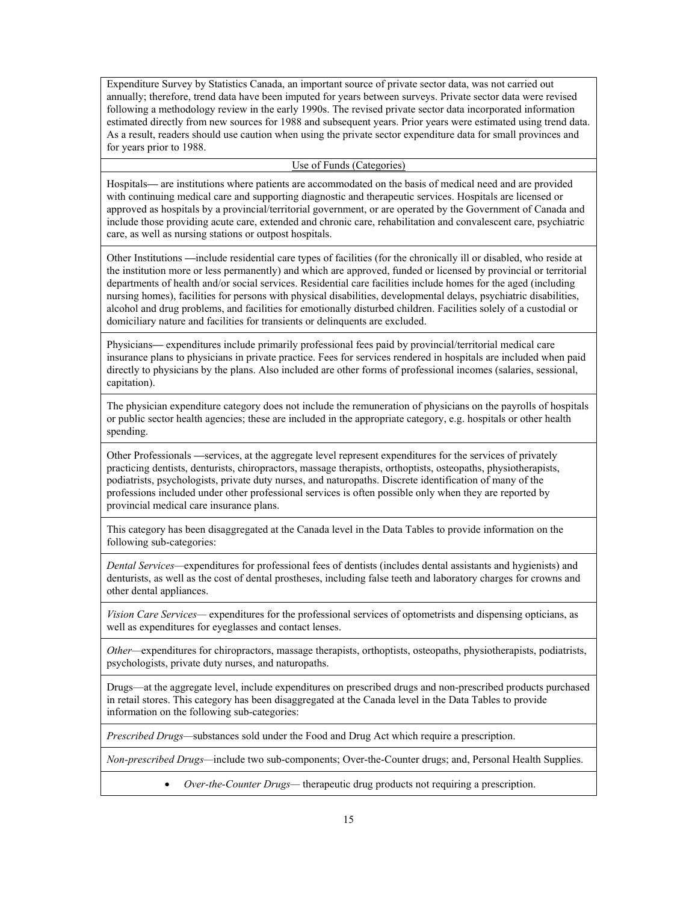Expenditure Survey by Statistics Canada, an important source of private sector data, was not carried out annually; therefore, trend data have been imputed for years between surveys. Private sector data were revised following a methodology review in the early 1990s. The revised private sector data incorporated information estimated directly from new sources for 1988 and subsequent years. Prior years were estimated using trend data. As a result, readers should use caution when using the private sector expenditure data for small provinces and for years prior to 1988.

#### Use of Funds (Categories)

Hospitals**—** are institutions where patients are accommodated on the basis of medical need and are provided with continuing medical care and supporting diagnostic and therapeutic services. Hospitals are licensed or approved as hospitals by a provincial/territorial government, or are operated by the Government of Canada and include those providing acute care, extended and chronic care, rehabilitation and convalescent care, psychiatric care, as well as nursing stations or outpost hospitals.

Other Institutions **—**include residential care types of facilities (for the chronically ill or disabled, who reside at the institution more or less permanently) and which are approved, funded or licensed by provincial or territorial departments of health and/or social services. Residential care facilities include homes for the aged (including nursing homes), facilities for persons with physical disabilities, developmental delays, psychiatric disabilities, alcohol and drug problems, and facilities for emotionally disturbed children. Facilities solely of a custodial or domiciliary nature and facilities for transients or delinquents are excluded.

Physicians**—** expenditures include primarily professional fees paid by provincial/territorial medical care insurance plans to physicians in private practice. Fees for services rendered in hospitals are included when paid directly to physicians by the plans. Also included are other forms of professional incomes (salaries, sessional, capitation).

The physician expenditure category does not include the remuneration of physicians on the payrolls of hospitals or public sector health agencies; these are included in the appropriate category, e.g. hospitals or other health spending.

Other Professionals **—**services, at the aggregate level represent expenditures for the services of privately practicing dentists, denturists, chiropractors, massage therapists, orthoptists, osteopaths, physiotherapists, podiatrists, psychologists, private duty nurses, and naturopaths. Discrete identification of many of the professions included under other professional services is often possible only when they are reported by provincial medical care insurance plans.

This category has been disaggregated at the Canada level in the Data Tables to provide information on the following sub-categories:

*Dental Services—*expenditures for professional fees of dentists (includes dental assistants and hygienists) and denturists, as well as the cost of dental prostheses, including false teeth and laboratory charges for crowns and other dental appliances.

*Vision Care Services—* expenditures for the professional services of optometrists and dispensing opticians, as well as expenditures for eyeglasses and contact lenses.

*Other—*expenditures for chiropractors, massage therapists, orthoptists, osteopaths, physiotherapists, podiatrists, psychologists, private duty nurses, and naturopaths.

Drugs—at the aggregate level, include expenditures on prescribed drugs and non-prescribed products purchased in retail stores. This category has been disaggregated at the Canada level in the Data Tables to provide information on the following sub-categories:

*Prescribed Drugs—*substances sold under the Food and Drug Act which require a prescription.

*Non-prescribed Drugs—*include two sub-components; Over-the-Counter drugs; and, Personal Health Supplies.

• *Over-the-Counter Drugs—* therapeutic drug products not requiring a prescription.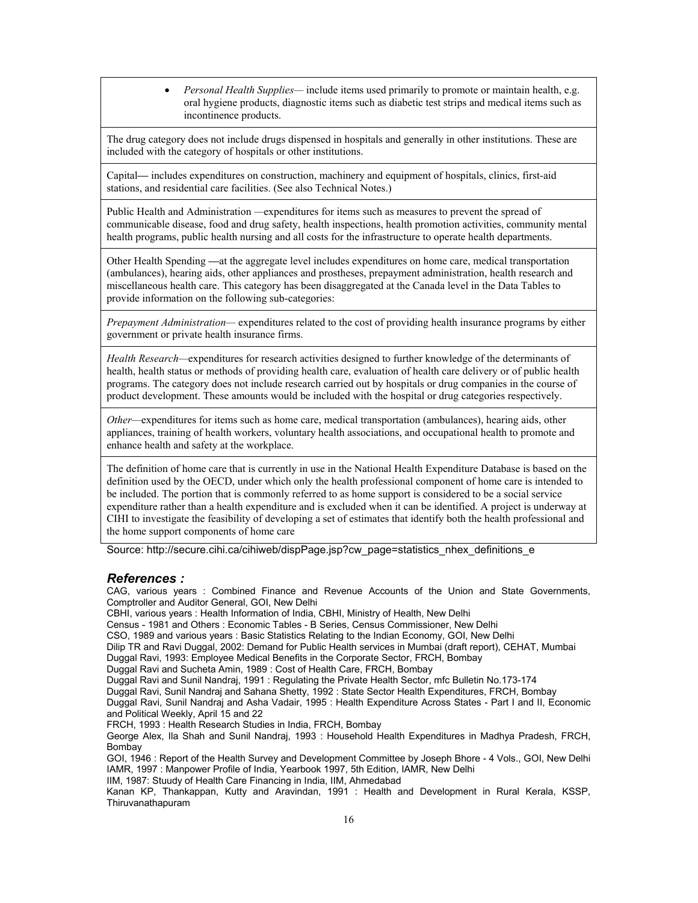• *Personal Health Supplies—* include items used primarily to promote or maintain health, e.g. oral hygiene products, diagnostic items such as diabetic test strips and medical items such as incontinence products.

The drug category does not include drugs dispensed in hospitals and generally in other institutions. These are included with the category of hospitals or other institutions.

Capital*—* includes expenditures on construction, machinery and equipment of hospitals, clinics, first-aid stations, and residential care facilities. (See also Technical Notes.)

Public Health and Administration *—*expenditures for items such as measures to prevent the spread of communicable disease, food and drug safety, health inspections, health promotion activities, community mental health programs, public health nursing and all costs for the infrastructure to operate health departments.

Other Health Spending **—**at the aggregate level includes expenditures on home care, medical transportation (ambulances), hearing aids, other appliances and prostheses, prepayment administration, health research and miscellaneous health care. This category has been disaggregated at the Canada level in the Data Tables to provide information on the following sub-categories:

*Prepayment Administration—* expenditures related to the cost of providing health insurance programs by either government or private health insurance firms.

*Health Research—*expenditures for research activities designed to further knowledge of the determinants of health, health status or methods of providing health care, evaluation of health care delivery or of public health programs. The category does not include research carried out by hospitals or drug companies in the course of product development. These amounts would be included with the hospital or drug categories respectively.

*Other—*expenditures for items such as home care, medical transportation (ambulances), hearing aids, other appliances, training of health workers, voluntary health associations, and occupational health to promote and enhance health and safety at the workplace.

The definition of home care that is currently in use in the National Health Expenditure Database is based on the definition used by the OECD, under which only the health professional component of home care is intended to be included. The portion that is commonly referred to as home support is considered to be a social service expenditure rather than a health expenditure and is excluded when it can be identified. A project is underway at CIHI to investigate the feasibility of developing a set of estimates that identify both the health professional and the home support components of home care

Source: http://secure.cihi.ca/cihiweb/dispPage.jsp?cw\_page=statistics\_nhex\_definitions\_e

#### *References :*

CAG, various years : Combined Finance and Revenue Accounts of the Union and State Governments, Comptroller and Auditor General, GOI, New Delhi

CBHI, various years : Health Information of India, CBHI, Ministry of Health, New Delhi

Census - 1981 and Others : Economic Tables - B Series, Census Commissioner, New Delhi

CSO, 1989 and various years : Basic Statistics Relating to the Indian Economy, GOI, New Delhi

Dilip TR and Ravi Duggal, 2002: Demand for Public Health services in Mumbai (draft report), CEHAT, Mumbai

Duggal Ravi, 1993: Employee Medical Benefits in the Corporate Sector, FRCH, Bombay

Duggal Ravi and Sucheta Amin, 1989 : Cost of Health Care, FRCH, Bombay

Duggal Ravi and Sunil Nandraj, 1991 : Regulating the Private Health Sector, mfc Bulletin No.173-174

Duggal Ravi, Sunil Nandraj and Sahana Shetty, 1992 : State Sector Health Expenditures, FRCH, Bombay Duggal Ravi, Sunil Nandraj and Asha Vadair, 1995 : Health Expenditure Across States - Part I and II, Economic and Political Weekly, April 15 and 22

FRCH, 1993 : Health Research Studies in India, FRCH, Bombay

George Alex, Ila Shah and Sunil Nandraj, 1993 : Household Health Expenditures in Madhya Pradesh, FRCH, Bombay

GOI, 1946 : Report of the Health Survey and Development Committee by Joseph Bhore - 4 Vols., GOI, New Delhi IAMR, 1997 : Manpower Profile of India, Yearbook 1997, 5th Edition, IAMR, New Delhi

IIM, 1987: Stuudy of Health Care Financing in India, IIM, Ahmedabad

Kanan KP, Thankappan, Kutty and Aravindan, 1991 : Health and Development in Rural Kerala, KSSP, Thiruvanathapuram